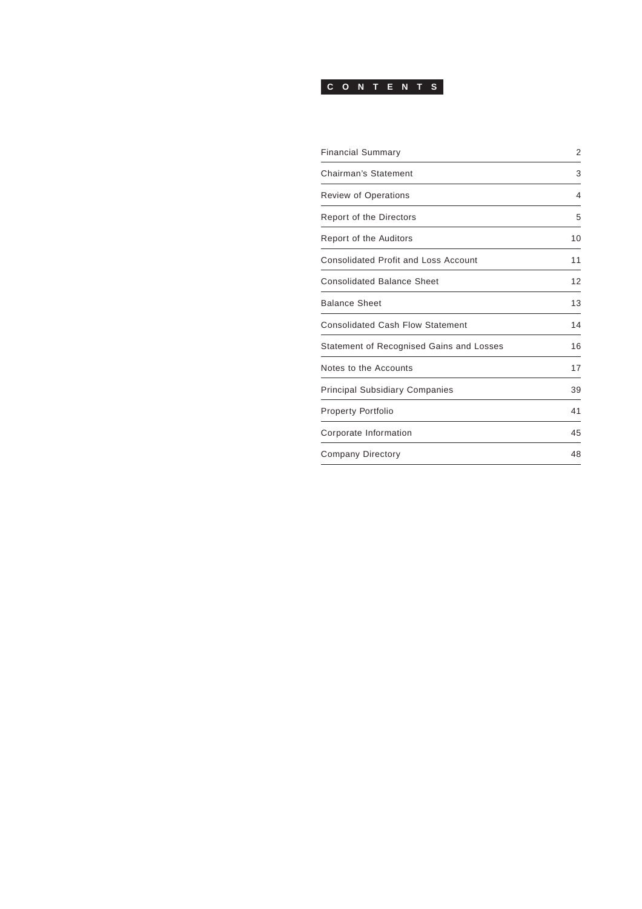## **CONTENTS**

| <b>Financial Summary</b>                    | $\overline{2}$ |
|---------------------------------------------|----------------|
| Chairman's Statement                        | 3              |
| <b>Review of Operations</b>                 | 4              |
| <b>Report of the Directors</b>              | 5              |
| Report of the Auditors                      | 10             |
| <b>Consolidated Profit and Loss Account</b> | 11             |
| <b>Consolidated Balance Sheet</b>           | 12             |
| <b>Balance Sheet</b>                        | 13             |
| <b>Consolidated Cash Flow Statement</b>     | 14             |
| Statement of Recognised Gains and Losses    | 16             |
| Notes to the Accounts                       | 17             |
| <b>Principal Subsidiary Companies</b>       | 39             |
| <b>Property Portfolio</b>                   | 41             |
| Corporate Information                       | 45             |
| <b>Company Directory</b>                    | 48             |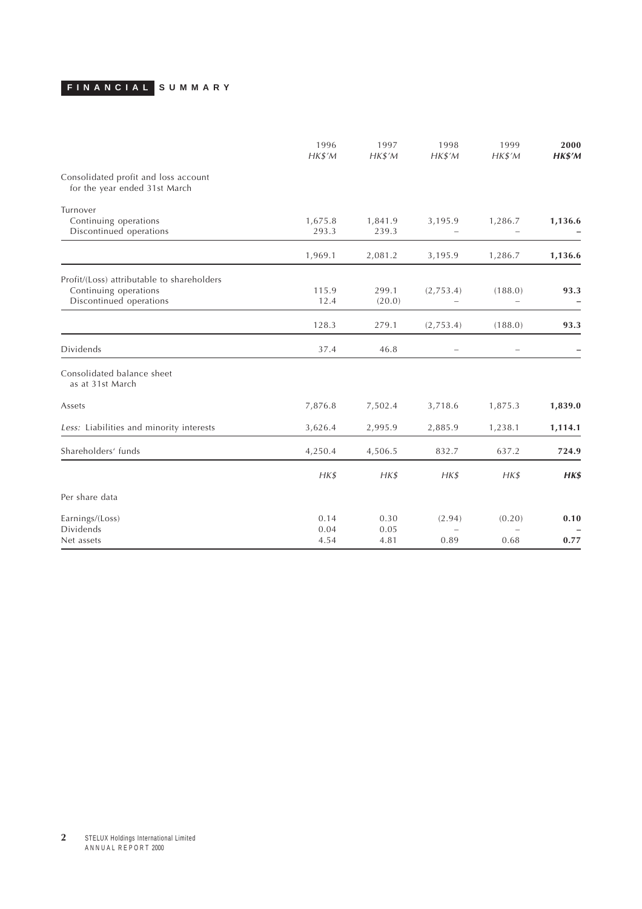# <span id="page-1-0"></span>**FINANCIAL SUMMARY**

|                                                                                                | 1996<br>HK\$'M   | 1997<br>HK\$'M   | 1998<br>HKS'M                       | 1999<br>$H K $^{\prime} M$ | 2000<br>HK\$'M |
|------------------------------------------------------------------------------------------------|------------------|------------------|-------------------------------------|----------------------------|----------------|
| Consolidated profit and loss account<br>for the year ended 31st March                          |                  |                  |                                     |                            |                |
| Turnover<br>Continuing operations<br>Discontinued operations                                   | 1,675.8<br>293.3 | 1,841.9<br>239.3 | 3,195.9<br>$\overline{\phantom{a}}$ | 1,286.7                    | 1,136.6        |
|                                                                                                | 1,969.1          | 2,081.2          | 3,195.9                             | 1,286.7                    | 1,136.6        |
| Profit/(Loss) attributable to shareholders<br>Continuing operations<br>Discontinued operations | 115.9<br>12.4    | 299.1<br>(20.0)  | (2,753.4)                           | (188.0)                    | 93.3           |
|                                                                                                | 128.3            | 279.1            | (2,753.4)                           | (188.0)                    | 93.3           |
| <b>Dividends</b>                                                                               | 37.4             | 46.8             | $\qquad \qquad -$                   | $\qquad \qquad -$          |                |
| Consolidated balance sheet<br>as at 31st March                                                 |                  |                  |                                     |                            |                |
| Assets                                                                                         | 7,876.8          | 7,502.4          | 3,718.6                             | 1,875.3                    | 1,839.0        |
| Less: Liabilities and minority interests                                                       | 3,626.4          | 2,995.9          | 2,885.9                             | 1,238.1                    | 1,114.1        |
| Shareholders' funds                                                                            | 4,250.4          | 4,506.5          | 832.7                               | 637.2                      | 724.9          |
|                                                                                                | HKS              | HKS              | HKS                                 | HK\$                       | HK\$           |
| Per share data                                                                                 |                  |                  |                                     |                            |                |
| Earnings/(Loss)<br>Dividends                                                                   | 0.14<br>0.04     | 0.30<br>0.05     | (2.94)<br>$\overline{\phantom{0}}$  | (0.20)                     | 0.10           |
| Net assets                                                                                     | 4.54             | 4.81             | 0.89                                | 0.68                       | 0.77           |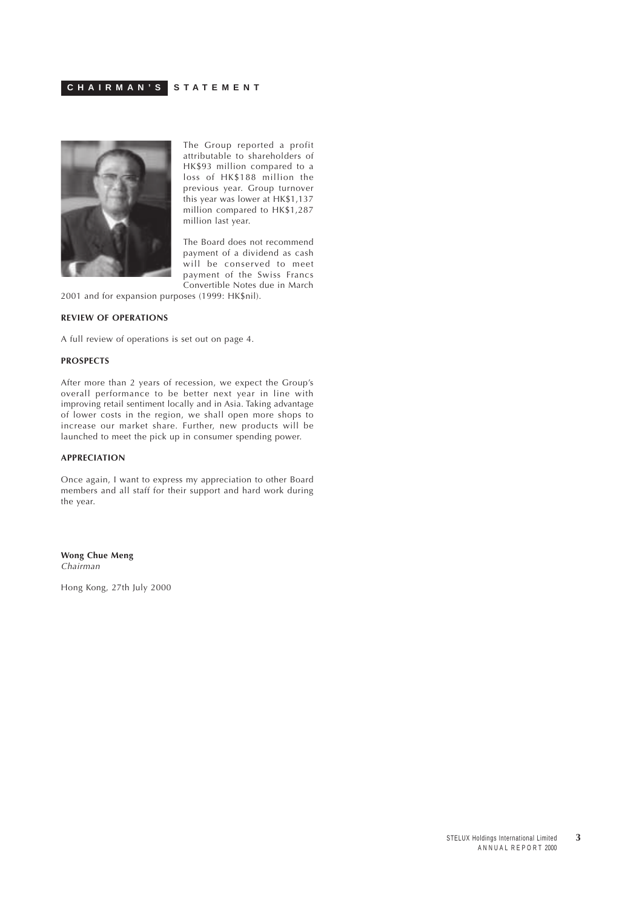<span id="page-2-0"></span>

The Group reported a profit attributable to shareholders of HK\$93 million compared to a loss of HK\$188 million the previous year. Group turnover this year was lower at HK\$1,137 million compared to HK\$1,287 million last year.

The Board does not recommend payment of a dividend as cash will be conserved to meet payment of the Swiss Francs Convertible Notes due in March

2001 and for expansion purposes (1999: HK\$nil).

## **REVIEW OF OPERATIONS**

A full review of operations is set out on page 4.

#### **PROSPECTS**

After more than 2 years of recession, we expect the Group's overall performance to be better next year in line with improving retail sentiment locally and in Asia. Taking advantage of lower costs in the region, we shall open more shops to increase our market share. Further, new products will be launched to meet the pick up in consumer spending power.

### **APPRECIATION**

Once again, I want to express my appreciation to other Board members and all staff for their support and hard work during the year.

**Wong Chue Meng** Chairman

Hong Kong, 27th July 2000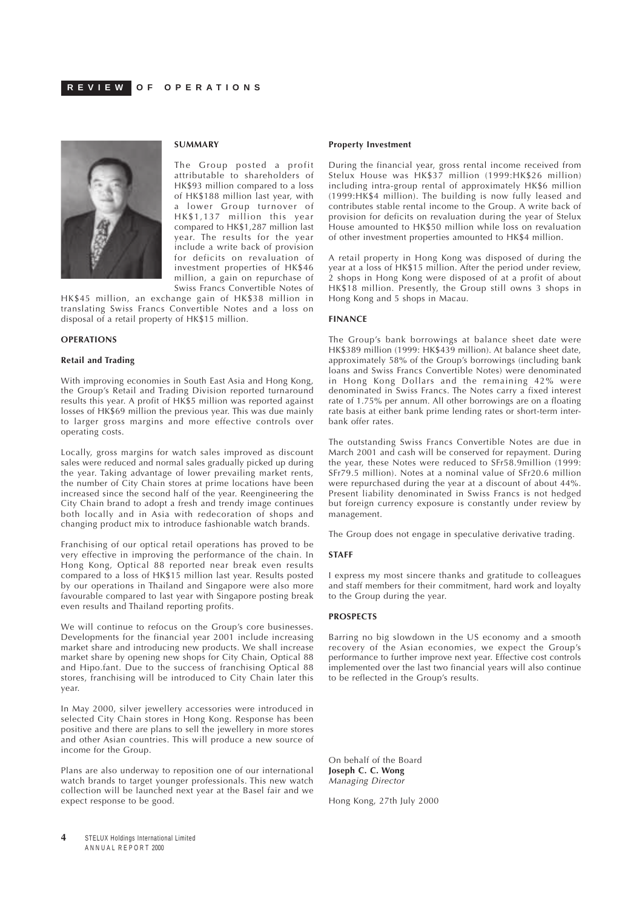<span id="page-3-0"></span>

## **SUMMARY**

The Group posted a profit attributable to shareholders of HK\$93 million compared to a loss of HK\$188 million last year, with a lower Group turnover of HK\$1,137 million this year compared to HK\$1,287 million last year. The results for the year include a write back of provision for deficits on revaluation of investment properties of HK\$46 million, a gain on repurchase of Swiss Francs Convertible Notes of

HK\$45 million, an exchange gain of HK\$38 million in translating Swiss Francs Convertible Notes and a loss on disposal of a retail property of HK\$15 million.

#### **OPERATIONS**

#### **Retail and Trading**

With improving economies in South East Asia and Hong Kong, the Group's Retail and Trading Division reported turnaround results this year. A profit of HK\$5 million was reported against losses of HK\$69 million the previous year. This was due mainly to larger gross margins and more effective controls over operating costs.

Locally, gross margins for watch sales improved as discount sales were reduced and normal sales gradually picked up during the year. Taking advantage of lower prevailing market rents, the number of City Chain stores at prime locations have been increased since the second half of the year. Reengineering the City Chain brand to adopt a fresh and trendy image continues both locally and in Asia with redecoration of shops and changing product mix to introduce fashionable watch brands.

Franchising of our optical retail operations has proved to be very effective in improving the performance of the chain. In Hong Kong, Optical 88 reported near break even results compared to a loss of HK\$15 million last year. Results posted by our operations in Thailand and Singapore were also more favourable compared to last year with Singapore posting break even results and Thailand reporting profits.

We will continue to refocus on the Group's core businesses. Developments for the financial year 2001 include increasing market share and introducing new products. We shall increase market share by opening new shops for City Chain, Optical 88 and Hipo.fant. Due to the success of franchising Optical 88 stores, franchising will be introduced to City Chain later this year.

In May 2000, silver jewellery accessories were introduced in selected City Chain stores in Hong Kong. Response has been positive and there are plans to sell the jewellery in more stores and other Asian countries. This will produce a new source of income for the Group.

Plans are also underway to reposition one of our international watch brands to target younger professionals. This new watch collection will be launched next year at the Basel fair and we expect response to be good.

#### **Property Investment**

During the financial year, gross rental income received from Stelux House was HK\$37 million (1999:HK\$26 million) including intra-group rental of approximately HK\$6 million (1999:HK\$4 million). The building is now fully leased and contributes stable rental income to the Group. A write back of provision for deficits on revaluation during the year of Stelux House amounted to HK\$50 million while loss on revaluation of other investment properties amounted to HK\$4 million.

A retail property in Hong Kong was disposed of during the year at a loss of HK\$15 million. After the period under review, 2 shops in Hong Kong were disposed of at a profit of about HK\$18 million. Presently, the Group still owns 3 shops in Hong Kong and 5 shops in Macau.

#### **FINANCE**

The Group's bank borrowings at balance sheet date were HK\$389 million (1999: HK\$439 million). At balance sheet date, approximately 58% of the Group's borrowings (including bank loans and Swiss Francs Convertible Notes) were denominated in Hong Kong Dollars and the remaining 42% were denominated in Swiss Francs. The Notes carry a fixed interest rate of 1.75% per annum. All other borrowings are on a floating rate basis at either bank prime lending rates or short-term interbank offer rates.

The outstanding Swiss Francs Convertible Notes are due in March 2001 and cash will be conserved for repayment. During the year, these Notes were reduced to SFr58.9million (1999: SFr79.5 million). Notes at a nominal value of SFr20.6 million were repurchased during the year at a discount of about 44%. Present liability denominated in Swiss Francs is not hedged but foreign currency exposure is constantly under review by management.

The Group does not engage in speculative derivative trading.

#### **STAFF**

I express my most sincere thanks and gratitude to colleagues and staff members for their commitment, hard work and loyalty to the Group during the year.

#### **PROSPECTS**

Barring no big slowdown in the US economy and a smooth recovery of the Asian economies, we expect the Group's performance to further improve next year. Effective cost controls implemented over the last two financial years will also continue to be reflected in the Group's results.

On behalf of the Board **Joseph C. C. Wong** Managing Director

Hong Kong, 27th July 2000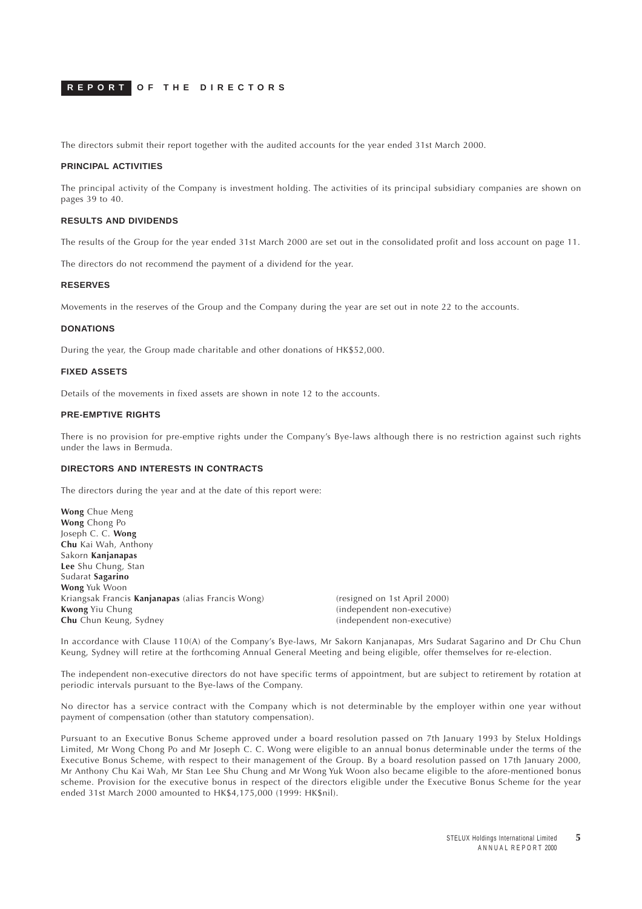<span id="page-4-0"></span>The directors submit their report together with the audited accounts for the year ended 31st March 2000.

#### **PRINCIPAL ACTIVITIES**

The principal activity of the Company is investment holding. The activities of its principal subsidiary companies are shown on pages 39 to 40.

#### **RESULTS AND DIVIDENDS**

The results of the Group for the year ended 31st March 2000 are set out in the consolidated profit and loss account on page 11.

The directors do not recommend the payment of a dividend for the year.

#### **RESERVES**

Movements in the reserves of the Group and the Company during the year are set out in note 22 to the accounts.

#### **DONATIONS**

During the year, the Group made charitable and other donations of HK\$52,000.

#### **FIXED ASSETS**

Details of the movements in fixed assets are shown in note 12 to the accounts.

## **PRE-EMPTIVE RIGHTS**

There is no provision for pre-emptive rights under the Company's Bye-laws although there is no restriction against such rights under the laws in Bermuda.

## **DIRECTORS AND INTERESTS IN CONTRACTS**

The directors during the year and at the date of this report were:

**Wong** Chue Meng **Wong** Chong Po Joseph C. C. **Wong Chu** Kai Wah, Anthony Sakorn **Kanjanapas Lee** Shu Chung, Stan Sudarat **Sagarino Wong** Yuk Woon Kriangsak Francis **Kanjanapas** (alias Francis Wong) (resigned on 1st April 2000) **Kwong** Yiu Chung **Kurish Chung** (independent non-executive) **Chu** Chun Keung, Sydney **Church** (independent non-executive)

In accordance with Clause 110(A) of the Company's Bye-laws, Mr Sakorn Kanjanapas, Mrs Sudarat Sagarino and Dr Chu Chun Keung, Sydney will retire at the forthcoming Annual General Meeting and being eligible, offer themselves for re-election.

The independent non-executive directors do not have specific terms of appointment, but are subject to retirement by rotation at periodic intervals pursuant to the Bye-laws of the Company.

No director has a service contract with the Company which is not determinable by the employer within one year without payment of compensation (other than statutory compensation).

Pursuant to an Executive Bonus Scheme approved under a board resolution passed on 7th January 1993 by Stelux Holdings Limited, Mr Wong Chong Po and Mr Joseph C. C. Wong were eligible to an annual bonus determinable under the terms of the Executive Bonus Scheme, with respect to their management of the Group. By a board resolution passed on 17th January 2000, Mr Anthony Chu Kai Wah, Mr Stan Lee Shu Chung and Mr Wong Yuk Woon also became eligible to the afore-mentioned bonus scheme. Provision for the executive bonus in respect of the directors eligible under the Executive Bonus Scheme for the year ended 31st March 2000 amounted to HK\$4,175,000 (1999: HK\$nil).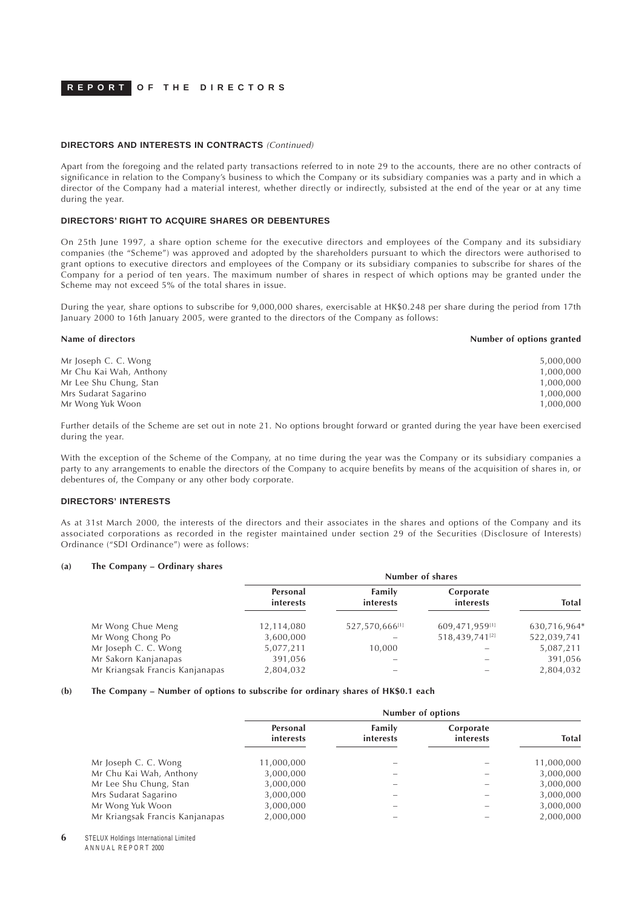## **DIRECTORS AND INTERESTS IN CONTRACTS** (Continued)

Apart from the foregoing and the related party transactions referred to in note 29 to the accounts, there are no other contracts of significance in relation to the Company's business to which the Company or its subsidiary companies was a party and in which a director of the Company had a material interest, whether directly or indirectly, subsisted at the end of the year or at any time during the year.

#### **DIRECTORS' RIGHT TO ACQUIRE SHARES OR DEBENTURES**

On 25th June 1997, a share option scheme for the executive directors and employees of the Company and its subsidiary companies (the "Scheme") was approved and adopted by the shareholders pursuant to which the directors were authorised to grant options to executive directors and employees of the Company or its subsidiary companies to subscribe for shares of the Company for a period of ten years. The maximum number of shares in respect of which options may be granted under the Scheme may not exceed 5% of the total shares in issue.

During the year, share options to subscribe for 9,000,000 shares, exercisable at HK\$0.248 per share during the period from 17th January 2000 to 16th January 2005, were granted to the directors of the Company as follows:

| Name of directors       | Number of options granted |
|-------------------------|---------------------------|
| Mr Joseph C. C. Wong    | 5,000,000                 |
| Mr Chu Kai Wah, Anthony | 1,000,000                 |
| Mr Lee Shu Chung, Stan  | 1,000,000                 |
| Mrs Sudarat Sagarino    | 1,000,000                 |
| Mr Wong Yuk Woon        | 1,000,000                 |

Further details of the Scheme are set out in note 21. No options brought forward or granted during the year have been exercised during the year.

With the exception of the Scheme of the Company, at no time during the year was the Company or its subsidiary companies a party to any arrangements to enable the directors of the Company to acquire benefits by means of the acquisition of shares in, or debentures of, the Company or any other body corporate.

#### **DIRECTORS' INTERESTS**

As at 31st March 2000, the interests of the directors and their associates in the shares and options of the Company and its associated corporations as recorded in the register maintained under section 29 of the Securities (Disclosure of Interests) Ordinance ("SDI Ordinance") were as follows:

#### **(a) The Company – Ordinary shares**

|                                 | Number of shares      |                     |                            |              |
|---------------------------------|-----------------------|---------------------|----------------------------|--------------|
|                                 | Personal<br>interests | Family<br>interests | Corporate<br>interests     | <b>Total</b> |
| Mr Wong Chue Meng               | 12,114,080            | 527,570,666[1]      | 609,471,959[1]             | 630,716,964* |
| Mr Wong Chong Po                | 3,600,000             |                     | 518,439,741 <sup>[2]</sup> | 522,039,741  |
| Mr Joseph C. C. Wong            | 5,077,211             | 10,000              |                            | 5,087,211    |
| Mr Sakorn Kanjanapas            | 391,056               |                     |                            | 391,056      |
| Mr Kriangsak Francis Kanjanapas | 2,804,032             |                     |                            | 2,804,032    |

#### **(b) The Company – Number of options to subscribe for ordinary shares of HK\$0.1 each**

| Number of options            |                     |                        |              |
|------------------------------|---------------------|------------------------|--------------|
| Personal<br><i>interests</i> | Family<br>interests | Corporate<br>interests | <b>Total</b> |
| 11,000,000                   |                     |                        | 11,000,000   |
| 3,000,000                    |                     |                        | 3,000,000    |
| 3,000,000                    |                     |                        | 3,000,000    |
| 3,000,000                    |                     |                        | 3,000,000    |
| 3,000,000                    |                     |                        | 3,000,000    |
| 2,000,000                    |                     |                        | 2,000,000    |
|                              |                     |                        |              |

**6** STELUX Holdings International Limited A N N U A L R E P O R T 2000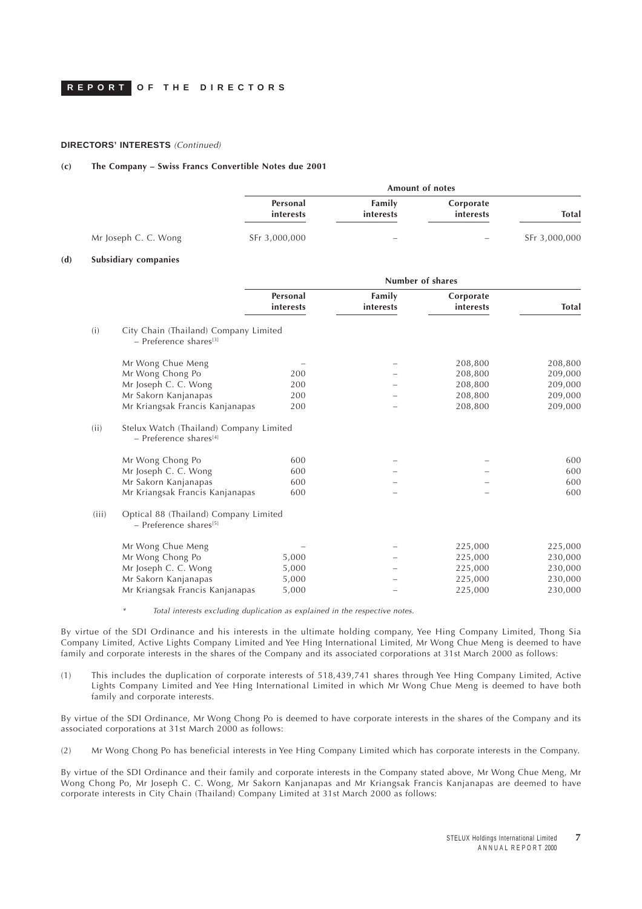## **DIRECTORS' INTERESTS** (Continued)

#### **(c) The Company – Swiss Francs Convertible Notes due 2001**

|                      | <b>Amount of notes</b> |                     |                          |               |
|----------------------|------------------------|---------------------|--------------------------|---------------|
|                      | Personal<br>interests  | Family<br>interests | Corporate<br>interests   | <b>Total</b>  |
| Mr Joseph C. C. Wong | SFr 3,000,000          | $\sim$              | $\overline{\phantom{m}}$ | SFr 3,000,000 |

#### **(d) Subsidiary companies**

|       |                                                                                 | Number of shares      |                     |                        |              |
|-------|---------------------------------------------------------------------------------|-----------------------|---------------------|------------------------|--------------|
|       |                                                                                 | Personal<br>interests | Family<br>interests | Corporate<br>interests | <b>Total</b> |
| (i)   | City Chain (Thailand) Company Limited<br>$-$ Preference shares <sup>[3]</sup>   |                       |                     |                        |              |
|       | Mr Wong Chue Meng                                                               |                       |                     | 208,800                | 208,800      |
|       | Mr Wong Chong Po                                                                | 200                   |                     | 208,800                | 209,000      |
|       | Mr Joseph C. C. Wong                                                            | 200                   |                     | 208,800                | 209,000      |
|       | Mr Sakorn Kanjanapas                                                            | 200                   |                     | 208,800                | 209,000      |
|       | Mr Kriangsak Francis Kanjanapas                                                 | 200                   |                     | 208,800                | 209,000      |
| (ii)  | Stelux Watch (Thailand) Company Limited<br>$-$ Preference shares <sup>[4]</sup> |                       |                     |                        |              |
|       | Mr Wong Chong Po                                                                | 600                   |                     |                        | 600          |
|       | Mr Joseph C. C. Wong                                                            | 600                   |                     |                        | 600          |
|       | Mr Sakorn Kanjanapas                                                            | 600                   |                     |                        | 600          |
|       | Mr Kriangsak Francis Kanjanapas                                                 | 600                   |                     |                        | 600          |
| (iii) | Optical 88 (Thailand) Company Limited<br>$-$ Preference shares <sup>[5]</sup>   |                       |                     |                        |              |
|       | Mr Wong Chue Meng                                                               |                       |                     | 225,000                | 225,000      |
|       | Mr Wong Chong Po                                                                | 5,000                 |                     | 225,000                | 230,000      |
|       | Mr Joseph C. C. Wong                                                            | 5,000                 |                     | 225,000                | 230,000      |
|       | Mr Sakorn Kanjanapas                                                            | 5,000                 |                     | 225,000                | 230,000      |
|       | Mr Kriangsak Francis Kanjanapas                                                 | 5,000                 |                     | 225,000                | 230,000      |
|       |                                                                                 |                       |                     |                        |              |

\*Total interests excluding duplication as explained in the respective notes.

By virtue of the SDI Ordinance and his interests in the ultimate holding company, Yee Hing Company Limited, Thong Sia Company Limited, Active Lights Company Limited and Yee Hing International Limited, Mr Wong Chue Meng is deemed to have family and corporate interests in the shares of the Company and its associated corporations at 31st March 2000 as follows:

(1) This includes the duplication of corporate interests of 518,439,741 shares through Yee Hing Company Limited, Active Lights Company Limited and Yee Hing International Limited in which Mr Wong Chue Meng is deemed to have both family and corporate interests.

By virtue of the SDI Ordinance, Mr Wong Chong Po is deemed to have corporate interests in the shares of the Company and its associated corporations at 31st March 2000 as follows:

(2) Mr Wong Chong Po has beneficial interests in Yee Hing Company Limited which has corporate interests in the Company.

By virtue of the SDI Ordinance and their family and corporate interests in the Company stated above, Mr Wong Chue Meng, Mr Wong Chong Po, Mr Joseph C. C. Wong, Mr Sakorn Kanjanapas and Mr Kriangsak Francis Kanjanapas are deemed to have corporate interests in City Chain (Thailand) Company Limited at 31st March 2000 as follows: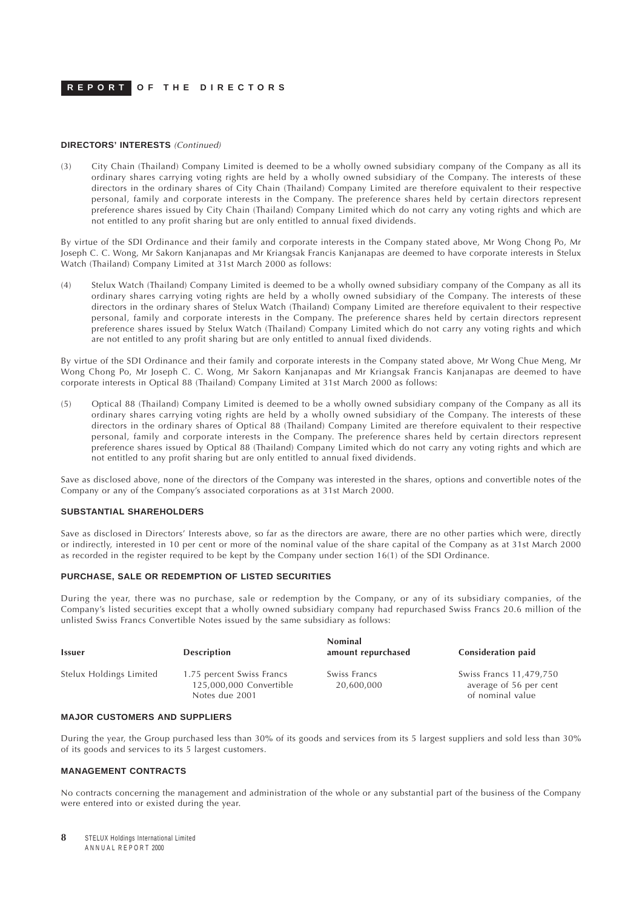### **DIRECTORS' INTERESTS** (Continued)

(3) City Chain (Thailand) Company Limited is deemed to be a wholly owned subsidiary company of the Company as all its ordinary shares carrying voting rights are held by a wholly owned subsidiary of the Company. The interests of these directors in the ordinary shares of City Chain (Thailand) Company Limited are therefore equivalent to their respective personal, family and corporate interests in the Company. The preference shares held by certain directors represent preference shares issued by City Chain (Thailand) Company Limited which do not carry any voting rights and which are not entitled to any profit sharing but are only entitled to annual fixed dividends.

By virtue of the SDI Ordinance and their family and corporate interests in the Company stated above, Mr Wong Chong Po, Mr Joseph C. C. Wong, Mr Sakorn Kanjanapas and Mr Kriangsak Francis Kanjanapas are deemed to have corporate interests in Stelux Watch (Thailand) Company Limited at 31st March 2000 as follows:

(4) Stelux Watch (Thailand) Company Limited is deemed to be a wholly owned subsidiary company of the Company as all its ordinary shares carrying voting rights are held by a wholly owned subsidiary of the Company. The interests of these directors in the ordinary shares of Stelux Watch (Thailand) Company Limited are therefore equivalent to their respective personal, family and corporate interests in the Company. The preference shares held by certain directors represent preference shares issued by Stelux Watch (Thailand) Company Limited which do not carry any voting rights and which are not entitled to any profit sharing but are only entitled to annual fixed dividends.

By virtue of the SDI Ordinance and their family and corporate interests in the Company stated above, Mr Wong Chue Meng, Mr Wong Chong Po, Mr Joseph C. C. Wong, Mr Sakorn Kanjanapas and Mr Kriangsak Francis Kanjanapas are deemed to have corporate interests in Optical 88 (Thailand) Company Limited at 31st March 2000 as follows:

(5) Optical 88 (Thailand) Company Limited is deemed to be a wholly owned subsidiary company of the Company as all its ordinary shares carrying voting rights are held by a wholly owned subsidiary of the Company. The interests of these directors in the ordinary shares of Optical 88 (Thailand) Company Limited are therefore equivalent to their respective personal, family and corporate interests in the Company. The preference shares held by certain directors represent preference shares issued by Optical 88 (Thailand) Company Limited which do not carry any voting rights and which are not entitled to any profit sharing but are only entitled to annual fixed dividends.

Save as disclosed above, none of the directors of the Company was interested in the shares, options and convertible notes of the Company or any of the Company's associated corporations as at 31st March 2000.

### **SUBSTANTIAL SHAREHOLDERS**

Save as disclosed in Directors' Interests above, so far as the directors are aware, there are no other parties which were, directly or indirectly, interested in 10 per cent or more of the nominal value of the share capital of the Company as at 31st March 2000 as recorded in the register required to be kept by the Company under section 16(1) of the SDI Ordinance.

#### **PURCHASE, SALE OR REDEMPTION OF LISTED SECURITIES**

During the year, there was no purchase, sale or redemption by the Company, or any of its subsidiary companies, of the Company's listed securities except that a wholly owned subsidiary company had repurchased Swiss Francs 20.6 million of the unlisted Swiss Francs Convertible Notes issued by the same subsidiary as follows:

| <b>Issuer</b>           | <b>Description</b>                                                     | <b>Nominal</b><br>amount repurchased | Consideration paid                                                    |
|-------------------------|------------------------------------------------------------------------|--------------------------------------|-----------------------------------------------------------------------|
| Stelux Holdings Limited | 1.75 percent Swiss Francs<br>125,000,000 Convertible<br>Notes due 2001 | Swiss Francs<br>20,600,000           | Swiss Francs 11,479,750<br>average of 56 per cent<br>of nominal value |

## **MAJOR CUSTOMERS AND SUPPLIERS**

During the year, the Group purchased less than 30% of its goods and services from its 5 largest suppliers and sold less than 30% of its goods and services to its 5 largest customers.

### **MANAGEMENT CONTRACTS**

No contracts concerning the management and administration of the whole or any substantial part of the business of the Company were entered into or existed during the year.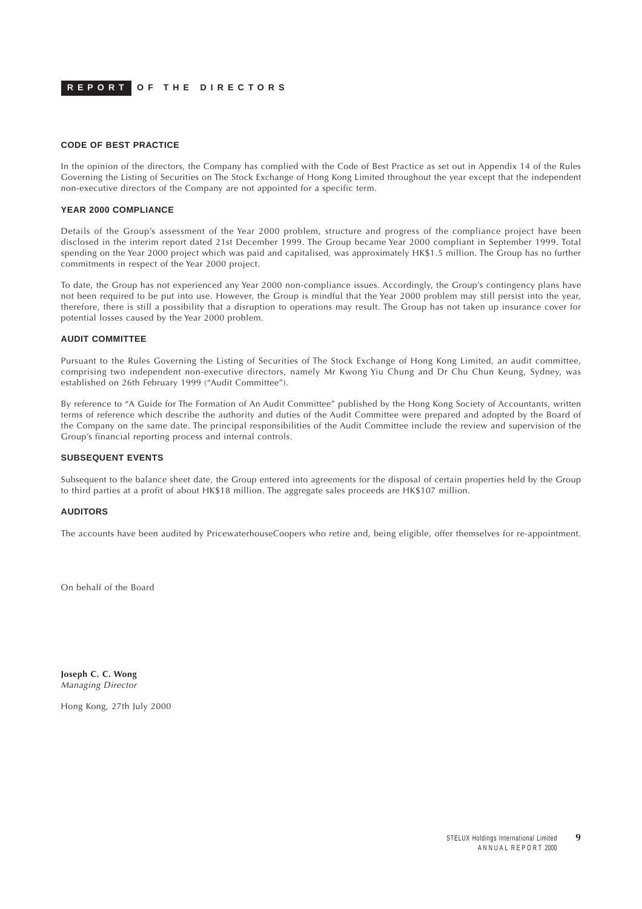## **CODE OF BEST PRACTICE**

In the opinion of the directors, the Company has complied with the Code of Best Practice as set out in Appendix 14 of the Rules Governing the Listing of Securities on The Stock Exchange of Hong Kong Limited throughout the year except that the independent non-executive directors of the Company are not appointed for a specific term.

#### **YEAR 2000 COMPLIANCE**

Details of the Group's assessment of the Year 2000 problem, structure and progress of the compliance project have been disclosed in the interim report dated 21st December 1999. The Group became Year 2000 compliant in September 1999. Total spending on the Year 2000 project which was paid and capitalised, was approximately HK\$1.5 million. The Group has no further commitments in respect of the Year 2000 project.

To date, the Group has not experienced any Year 2000 non-compliance issues. Accordingly, the Group's contingency plans have not been required to be put into use. However, the Group is mindful that the Year 2000 problem may still persist into the year, therefore, there is still a possibility that a disruption to operations may result. The Group has not taken up insurance cover for potential losses caused by the Year 2000 problem.

#### **AUDIT COMMITTEE**

Pursuant to the Rules Governing the Listing of Securities of The Stock Exchange of Hong Kong Limited, an audit committee, comprising two independent non-executive directors, namely Mr Kwong Yiu Chung and Dr Chu Chun Keung, Sydney, was established on 26th February 1999 ("Audit Committee").

By reference to "A Guide for The Formation of An Audit Committee" published by the Hong Kong Society of Accountants, written terms of reference which describe the authority and duties of the Audit Committee were prepared and adopted by the Board of the Company on the same date. The principal responsibilities of the Audit Committee include the review and supervision of the Group's financial reporting process and internal controls.

### **SUBSEQUENT EVENTS**

Subsequent to the balance sheet date, the Group entered into agreements for the disposal of certain properties held by the Group to third parties at a profit of about HK\$18 million. The aggregate sales proceeds are HK\$107 million.

### **AUDITORS**

The accounts have been audited by PricewaterhouseCoopers who retire and, being eligible, offer themselves for re-appointment.

On behalf of the Board

**Joseph C. C. Wong** Managing Director

Hong Kong, 27th July 2000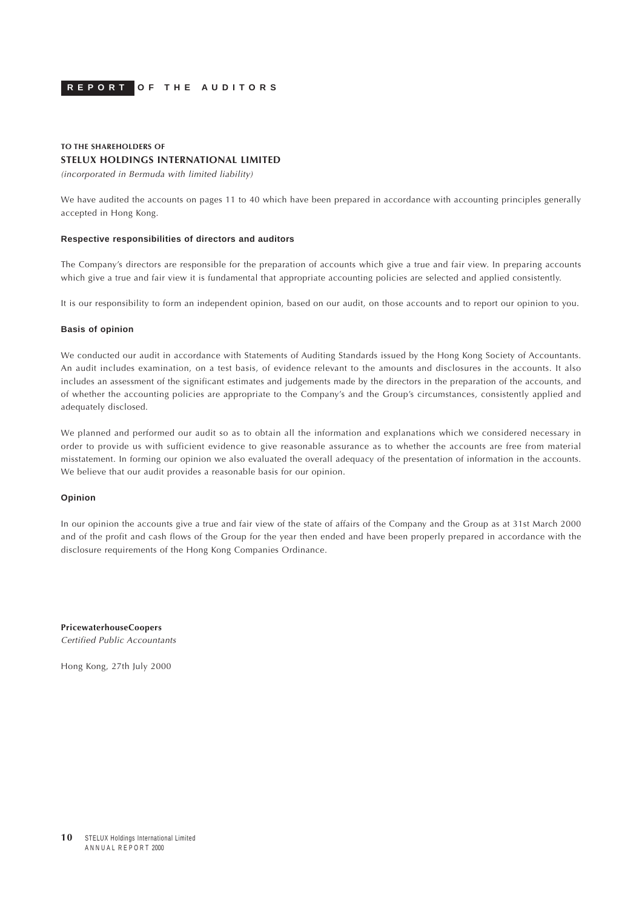<span id="page-9-0"></span>

## **TO THE SHAREHOLDERS OF STELUX HOLDINGS INTERNATIONAL LIMITED**

(incorporated in Bermuda with limited liability)

We have audited the accounts on pages 11 to 40 which have been prepared in accordance with accounting principles generally accepted in Hong Kong.

#### **Respective responsibilities of directors and auditors**

The Company's directors are responsible for the preparation of accounts which give a true and fair view. In preparing accounts which give a true and fair view it is fundamental that appropriate accounting policies are selected and applied consistently.

It is our responsibility to form an independent opinion, based on our audit, on those accounts and to report our opinion to you.

#### **Basis of opinion**

We conducted our audit in accordance with Statements of Auditing Standards issued by the Hong Kong Society of Accountants. An audit includes examination, on a test basis, of evidence relevant to the amounts and disclosures in the accounts. It also includes an assessment of the significant estimates and judgements made by the directors in the preparation of the accounts, and of whether the accounting policies are appropriate to the Company's and the Group's circumstances, consistently applied and adequately disclosed.

We planned and performed our audit so as to obtain all the information and explanations which we considered necessary in order to provide us with sufficient evidence to give reasonable assurance as to whether the accounts are free from material misstatement. In forming our opinion we also evaluated the overall adequacy of the presentation of information in the accounts. We believe that our audit provides a reasonable basis for our opinion.

#### **Opinion**

In our opinion the accounts give a true and fair view of the state of affairs of the Company and the Group as at 31st March 2000 and of the profit and cash flows of the Group for the year then ended and have been properly prepared in accordance with the disclosure requirements of the Hong Kong Companies Ordinance.

**PricewaterhouseCoopers** Certified Public Accountants

Hong Kong, 27th July 2000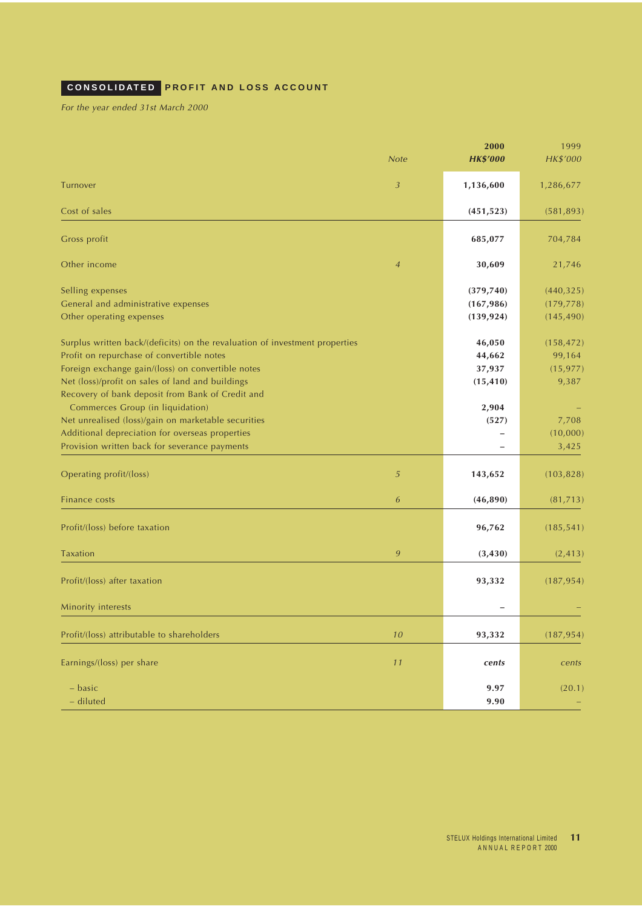# <span id="page-10-0"></span>**CONSOLIDATED PROFIT AND LOSS ACCOUNT**

For the year ended 31st March 2000

|                                                                             | <b>Note</b>    | 2000<br><b>HK\$'000</b> | 1999<br>HK\$'000 |
|-----------------------------------------------------------------------------|----------------|-------------------------|------------------|
| Turnover                                                                    | $\mathfrak{Z}$ | 1,136,600               | 1,286,677        |
| Cost of sales                                                               |                | (451, 523)              | (581, 893)       |
| Gross profit                                                                |                | 685,077                 | 704,784          |
|                                                                             |                |                         |                  |
| Other income                                                                | $\overline{4}$ | 30,609                  | 21,746           |
| Selling expenses                                                            |                | (379, 740)              | (440, 325)       |
| General and administrative expenses                                         |                | (167, 986)              | (179, 778)       |
| Other operating expenses                                                    |                | (139, 924)              | (145, 490)       |
| Surplus written back/(deficits) on the revaluation of investment properties |                | 46,050                  | (158, 472)       |
| Profit on repurchase of convertible notes                                   |                | 44,662                  | 99,164           |
| Foreign exchange gain/(loss) on convertible notes                           |                | 37,937                  | (15, 977)        |
| Net (loss)/profit on sales of land and buildings                            |                | (15, 410)               | 9,387            |
| Recovery of bank deposit from Bank of Credit and                            |                |                         |                  |
| Commerces Group (in liquidation)                                            |                | 2,904                   |                  |
| Net unrealised (loss)/gain on marketable securities                         |                | (527)                   | 7,708            |
| Additional depreciation for overseas properties                             |                |                         | (10,000)         |
| Provision written back for severance payments                               |                |                         | 3,425            |
| Operating profit/(loss)                                                     | 5              | 143,652                 | (103, 828)       |
| Finance costs                                                               | 6              | (46,890)                | (81, 713)        |
| Profit/(loss) before taxation                                               |                | 96,762                  | (185, 541)       |
| <b>Taxation</b>                                                             | 9              | (3, 430)                | (2, 413)         |
|                                                                             |                |                         |                  |
| Profit/(loss) after taxation                                                |                | 93,332                  | (187, 954)       |
| Minority interests                                                          |                |                         |                  |
| Profit/(loss) attributable to shareholders                                  | $10$           | 93,332                  | (187, 954)       |
| Earnings/(loss) per share                                                   | 11             | cents                   | cents            |
|                                                                             |                |                         |                  |
| - basic                                                                     |                | 9.97                    | (20.1)           |
| - diluted                                                                   |                | 9.90                    |                  |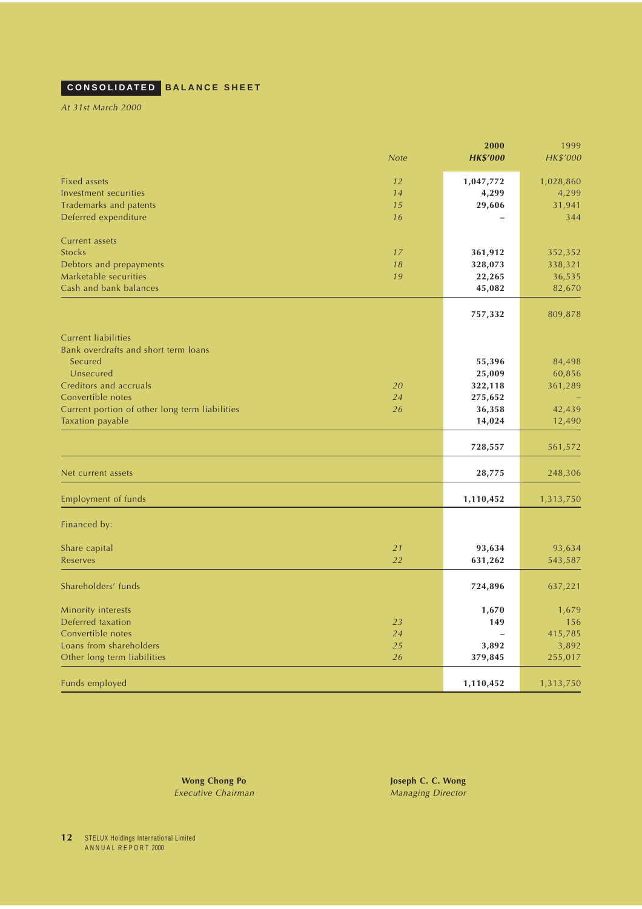# <span id="page-11-0"></span>**CONSOLIDATED BALANCE SHEET**

At 31st March 2000

| <b>Note</b>                                          | 2000<br><b>HK\$'000</b>  | 1999<br>HK\$'000   |
|------------------------------------------------------|--------------------------|--------------------|
| <b>Fixed assets</b><br>12                            |                          |                    |
| Investment securities<br>14                          | 1,047,772<br>4,299       | 1,028,860<br>4,299 |
| <b>Trademarks and patents</b><br>15                  | 29,606                   | 31,941             |
| Deferred expenditure<br>16                           |                          | 344                |
|                                                      |                          |                    |
| Current assets                                       |                          |                    |
| <b>Stocks</b><br>17                                  | 361,912                  | 352,352            |
| Debtors and prepayments<br>18                        | 328,073                  | 338,321            |
| Marketable securities<br>19                          | 22,265                   | 36,535             |
| Cash and bank balances                               | 45,082                   | 82,670             |
|                                                      | 757,332                  | 809,878            |
| <b>Current liabilities</b>                           |                          |                    |
| Bank overdrafts and short term loans                 |                          |                    |
| Secured                                              | 55,396                   | 84,498             |
| Unsecured                                            | 25,009                   | 60,856             |
| Creditors and accruals<br>20                         | 322,118                  | 361,289            |
| Convertible notes<br>24                              | 275,652                  |                    |
| Current portion of other long term liabilities<br>26 | 36,358                   | 42,439             |
| Taxation payable                                     | 14,024                   | 12,490             |
|                                                      | 728,557                  | 561,572            |
|                                                      |                          |                    |
| Net current assets                                   | 28,775                   | 248,306            |
| <b>Employment of funds</b>                           | 1,110,452                | 1,313,750          |
| Financed by:                                         |                          |                    |
| Share capital<br>21                                  | 93,634                   | 93,634             |
| 22<br><b>Reserves</b>                                | 631,262                  | 543,587            |
|                                                      |                          |                    |
| Shareholders' funds                                  | 724,896                  | 637,221            |
| Minority interests                                   | 1,670                    | 1,679              |
| Deferred taxation<br>23                              | 149                      | 156                |
| Convertible notes<br>24                              | $\overline{\phantom{0}}$ | 415,785            |
| Loans from shareholders<br>25                        | 3,892                    | 3,892              |
| 26<br>Other long term liabilities                    | 379,845                  | 255,017            |
| Funds employed                                       | 1,110,452                | 1,313,750          |

**Wong Chong Po Joseph C. C. Wong** Executive Chairman Managing Director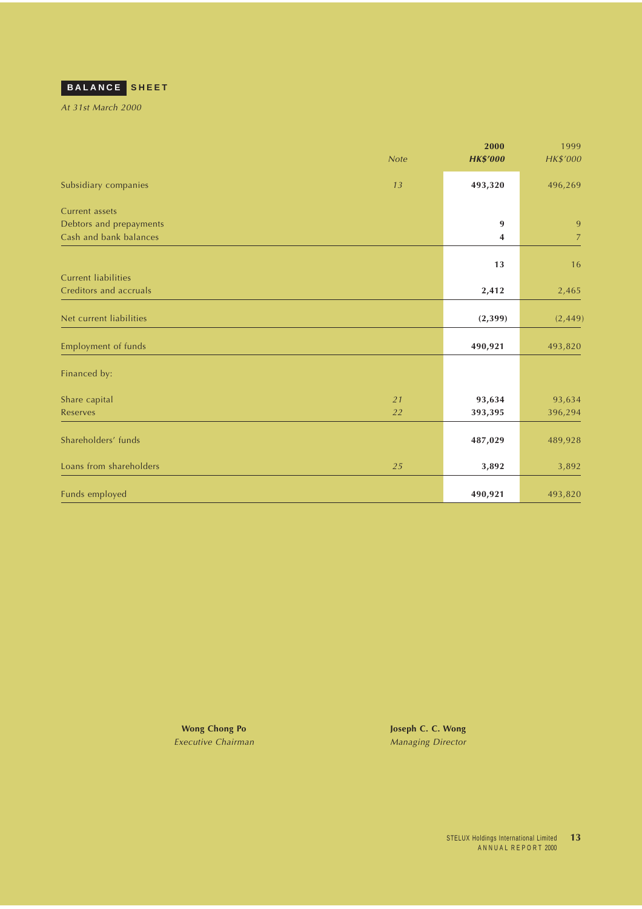<span id="page-12-0"></span>

At 31st March 2000

|                            |             | 2000            | 1999           |
|----------------------------|-------------|-----------------|----------------|
|                            | <b>Note</b> | <b>HK\$'000</b> | HK\$'000       |
| Subsidiary companies       | 13          | 493,320         | 496,269        |
| Current assets             |             |                 |                |
| Debtors and prepayments    |             | 9               | 9              |
| Cash and bank balances     |             | 4               | $\overline{7}$ |
|                            |             |                 |                |
| <b>Current liabilities</b> |             | 13              | 16             |
| Creditors and accruals     |             | 2,412           | 2,465          |
|                            |             |                 |                |
| Net current liabilities    |             | (2,399)         | (2, 449)       |
| Employment of funds        |             | 490,921         | 493,820        |
| Financed by:               |             |                 |                |
|                            |             |                 |                |
| Share capital              | 21          | 93,634          | 93,634         |
| <b>Reserves</b>            | 22          | 393,395         | 396,294        |
| Shareholders' funds        |             | 487,029         | 489,928        |
|                            |             |                 |                |
| Loans from shareholders    | 25          | 3,892           | 3,892          |
|                            |             |                 |                |
| Funds employed             |             | 490,921         | 493,820        |

Executive Chairman Managing Director

**Wong Chong Po Joseph C. C. Wong**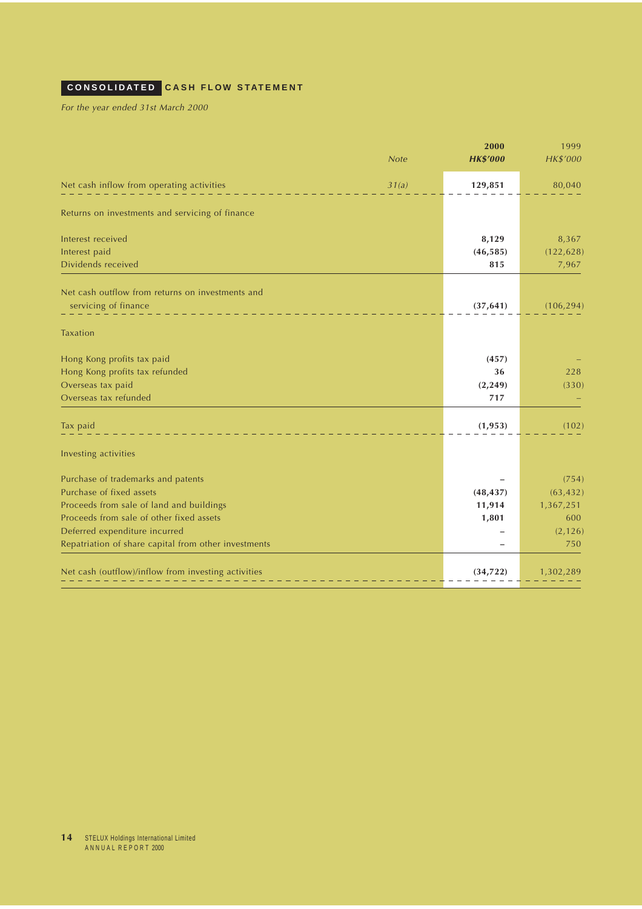# <span id="page-13-0"></span>**CONSOLIDATED CASH FLOW STATEMENT**

For the year ended 31st March 2000

|                                                      |             | 2000            | 1999       |
|------------------------------------------------------|-------------|-----------------|------------|
|                                                      | <b>Note</b> | <b>HK\$'000</b> | HK\$'000   |
| Net cash inflow from operating activities            | 31(a)       | 129,851         | 80,040     |
| Returns on investments and servicing of finance      |             |                 |            |
| Interest received                                    |             | 8,129           | 8,367      |
| Interest paid                                        |             | (46, 585)       | (122, 628) |
| Dividends received                                   |             | 815             | 7,967      |
| Net cash outflow from returns on investments and     |             |                 |            |
| servicing of finance                                 |             | (37, 641)       | (106, 294) |
| <b>Taxation</b>                                      |             |                 |            |
| Hong Kong profits tax paid                           |             | (457)           |            |
| Hong Kong profits tax refunded                       |             | 36              | 228        |
| Overseas tax paid                                    |             | (2, 249)        | (330)      |
| Overseas tax refunded                                |             | 717             |            |
| Tax paid                                             |             | (1, 953)        | (102)      |
| Investing activities                                 |             |                 |            |
| Purchase of trademarks and patents                   |             |                 | (754)      |
| Purchase of fixed assets                             |             | (48, 437)       | (63, 432)  |
| Proceeds from sale of land and buildings             |             | 11,914          | 1,367,251  |
| Proceeds from sale of other fixed assets             |             | 1,801           | 600        |
| Deferred expenditure incurred                        |             |                 | (2, 126)   |
| Repatriation of share capital from other investments |             |                 | 750        |
| Net cash (outflow)/inflow from investing activities  |             | (34, 722)       | 1,302,289  |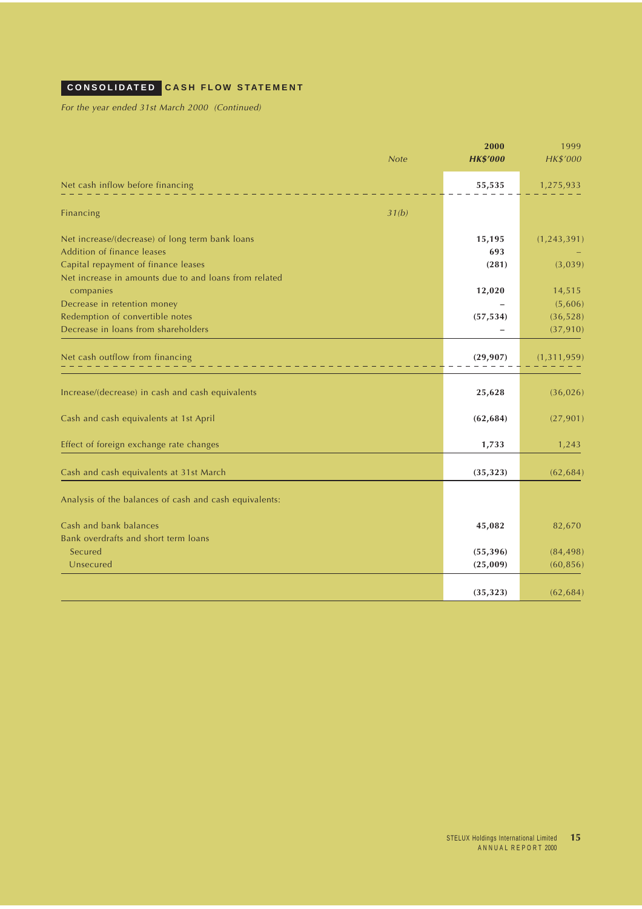# **CONSOLIDATED CASH FLOW STATEMENT**

For the year ended 31st March 2000 (Continued)

| <b>Note</b>                                                        | 2000<br><b>HK\$'000</b> | 1999<br>HK\$'000 |
|--------------------------------------------------------------------|-------------------------|------------------|
| Net cash inflow before financing                                   | 55,535                  | 1,275,933        |
| 31(b)<br>Financing                                                 |                         |                  |
| Net increase/(decrease) of long term bank loans                    | 15,195                  | (1, 243, 391)    |
| Addition of finance leases                                         | 693                     |                  |
| Capital repayment of finance leases                                | (281)                   | (3,039)          |
| Net increase in amounts due to and loans from related<br>companies | 12,020                  | 14,515           |
| Decrease in retention money                                        |                         | (5,606)          |
| Redemption of convertible notes                                    | (57, 534)               | (36, 528)        |
| Decrease in loans from shareholders                                |                         | (37, 910)        |
| Net cash outflow from financing                                    | (29, 907)               | (1, 311, 959)    |
| Increase/(decrease) in cash and cash equivalents                   | 25,628                  | (36, 026)        |
| Cash and cash equivalents at 1st April                             | (62, 684)               | (27, 901)        |
| Effect of foreign exchange rate changes                            | 1,733                   | 1,243            |
| Cash and cash equivalents at 31st March                            | (35, 323)               | (62, 684)        |
| Analysis of the balances of cash and cash equivalents:             |                         |                  |
| Cash and bank balances                                             | 45,082                  | 82,670           |
| Bank overdrafts and short term loans                               |                         |                  |
| Secured                                                            | (55, 396)               | (84, 498)        |
| Unsecured                                                          | (25,009)                | (60, 856)        |
|                                                                    | (35, 323)               | (62, 684)        |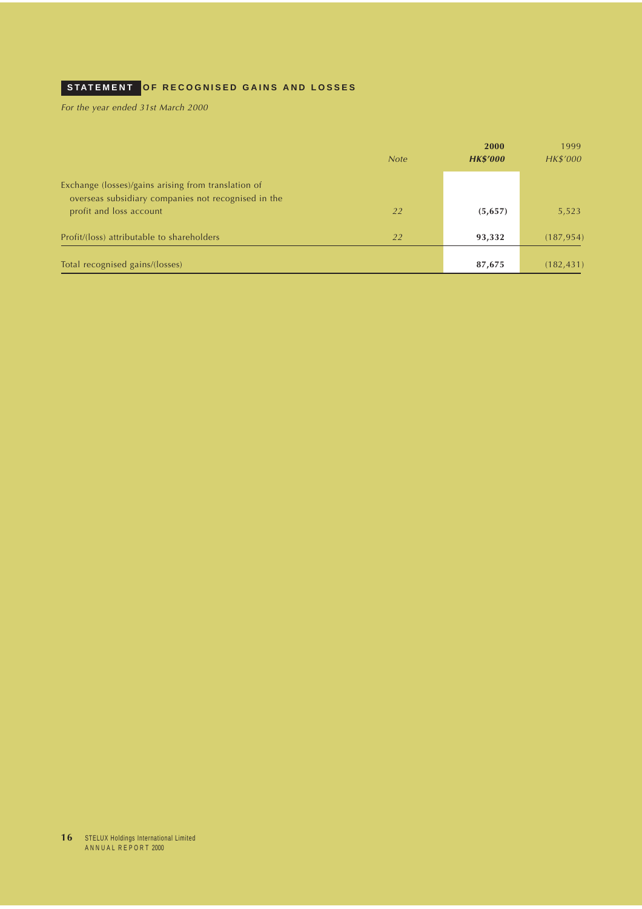# <span id="page-15-0"></span>**STATEMENT OF RECOGNISED GAINS AND LOSSES**

For the year ended 31st March 2000

|                                                                                                            |             | 2000            | 1999       |
|------------------------------------------------------------------------------------------------------------|-------------|-----------------|------------|
|                                                                                                            | <b>Note</b> | <b>HK\$'000</b> | HK\$'000   |
| Exchange (losses)/gains arising from translation of<br>overseas subsidiary companies not recognised in the |             |                 |            |
| profit and loss account                                                                                    | 22          | (5,657)         | 5,523      |
| Profit/(loss) attributable to shareholders                                                                 | 22          | 93,332          | (187, 954) |
| Total recognised gains/(losses)                                                                            |             | 87,675          | (182, 431) |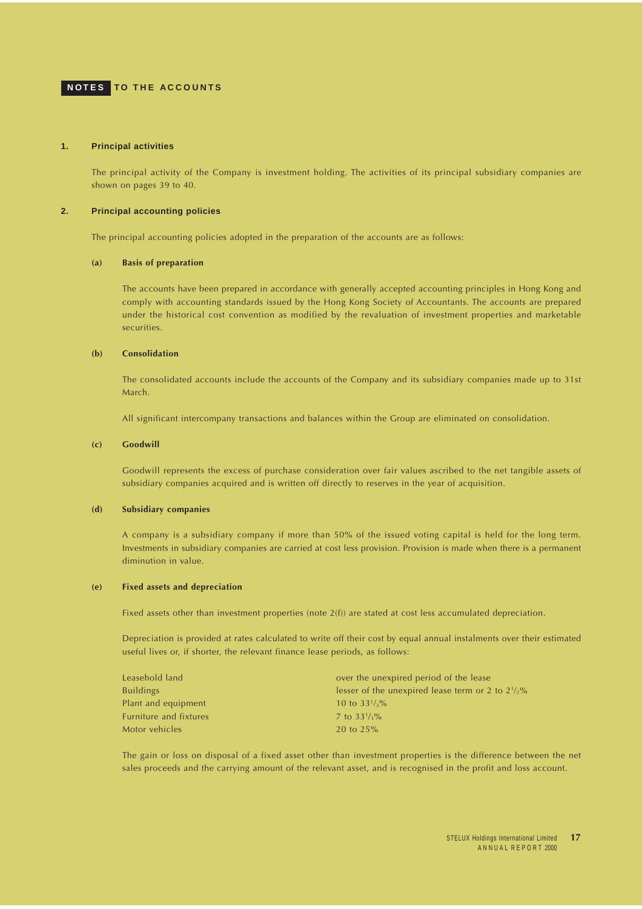## <span id="page-16-0"></span>**NOTES TO THE ACCOUNTS**

#### **1. Principal activities**

The principal activity of the Company is investment holding. The activities of its principal subsidiary companies are shown on pages 39 to 40.

#### **2. Principal accounting policies**

The principal accounting policies adopted in the preparation of the accounts are as follows:

## **(a) Basis of preparation**

The accounts have been prepared in accordance with generally accepted accounting principles in Hong Kong and comply with accounting standards issued by the Hong Kong Society of Accountants. The accounts are prepared under the historical cost convention as modified by the revaluation of investment properties and marketable securities.

#### **(b) Consolidation**

The consolidated accounts include the accounts of the Company and its subsidiary companies made up to 31st March.

All significant intercompany transactions and balances within the Group are eliminated on consolidation.

#### **(c) Goodwill**

Goodwill represents the excess of purchase consideration over fair values ascribed to the net tangible assets of subsidiary companies acquired and is written off directly to reserves in the year of acquisition.

#### **(d) Subsidiary companies**

A company is a subsidiary company if more than 50% of the issued voting capital is held for the long term. Investments in subsidiary companies are carried at cost less provision. Provision is made when there is a permanent diminution in value.

#### **(e) Fixed assets and depreciation**

Fixed assets other than investment properties (note 2(f)) are stated at cost less accumulated depreciation.

Depreciation is provided at rates calculated to write off their cost by equal annual instalments over their estimated useful lives or, if shorter, the relevant finance lease periods, as follows:

| Leasehold land         | over the unexpired period of the lease                      |
|------------------------|-------------------------------------------------------------|
| <b>Buildings</b>       | lesser of the unexpired lease term or 2 to $2\frac{1}{2}\%$ |
| Plant and equipment    | 10 to $33\frac{1}{3}\%$                                     |
| Furniture and fixtures | 7 to $33\frac{1}{3}\%$                                      |
| Motor vehicles         | 20 to $25%$                                                 |

The gain or loss on disposal of a fixed asset other than investment properties is the difference between the net sales proceeds and the carrying amount of the relevant asset, and is recognised in the profit and loss account.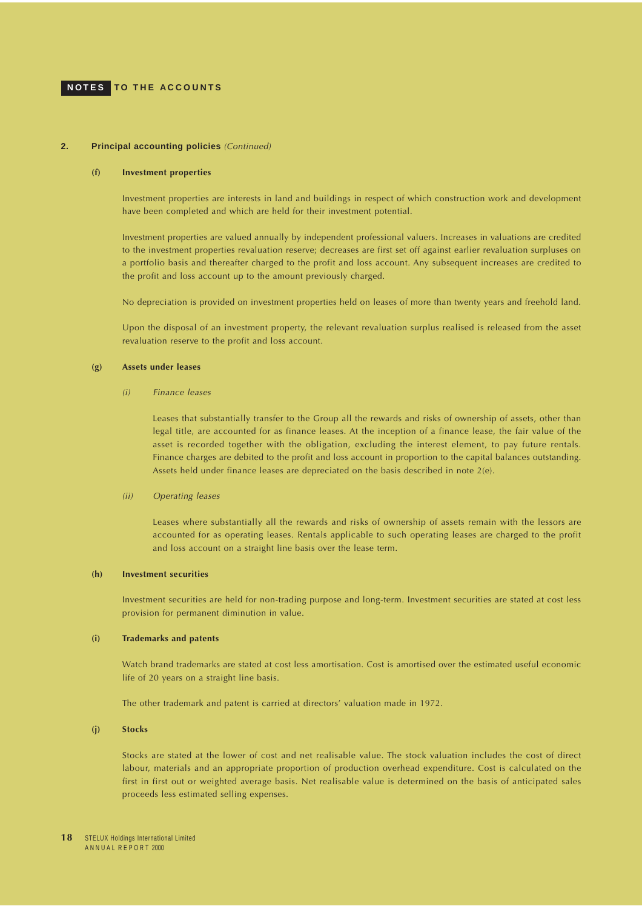#### **2. Principal accounting policies** (Continued)

#### **(f) Investment properties**

Investment properties are interests in land and buildings in respect of which construction work and development have been completed and which are held for their investment potential.

Investment properties are valued annually by independent professional valuers. Increases in valuations are credited to the investment properties revaluation reserve; decreases are first set off against earlier revaluation surpluses on a portfolio basis and thereafter charged to the profit and loss account. Any subsequent increases are credited to the profit and loss account up to the amount previously charged.

No depreciation is provided on investment properties held on leases of more than twenty years and freehold land.

Upon the disposal of an investment property, the relevant revaluation surplus realised is released from the asset revaluation reserve to the profit and loss account.

#### **(g) Assets under leases**

#### (i) Finance leases

Leases that substantially transfer to the Group all the rewards and risks of ownership of assets, other than legal title, are accounted for as finance leases. At the inception of a finance lease, the fair value of the asset is recorded together with the obligation, excluding the interest element, to pay future rentals. Finance charges are debited to the profit and loss account in proportion to the capital balances outstanding. Assets held under finance leases are depreciated on the basis described in note 2(e).

#### (ii) Operating leases

Leases where substantially all the rewards and risks of ownership of assets remain with the lessors are accounted for as operating leases. Rentals applicable to such operating leases are charged to the profit and loss account on a straight line basis over the lease term.

## **(h) Investment securities**

Investment securities are held for non-trading purpose and long-term. Investment securities are stated at cost less provision for permanent diminution in value.

#### **(i) Trademarks and patents**

Watch brand trademarks are stated at cost less amortisation. Cost is amortised over the estimated useful economic life of 20 years on a straight line basis.

The other trademark and patent is carried at directors' valuation made in 1972.

#### **(j) Stocks**

Stocks are stated at the lower of cost and net realisable value. The stock valuation includes the cost of direct labour, materials and an appropriate proportion of production overhead expenditure. Cost is calculated on the first in first out or weighted average basis. Net realisable value is determined on the basis of anticipated sales proceeds less estimated selling expenses.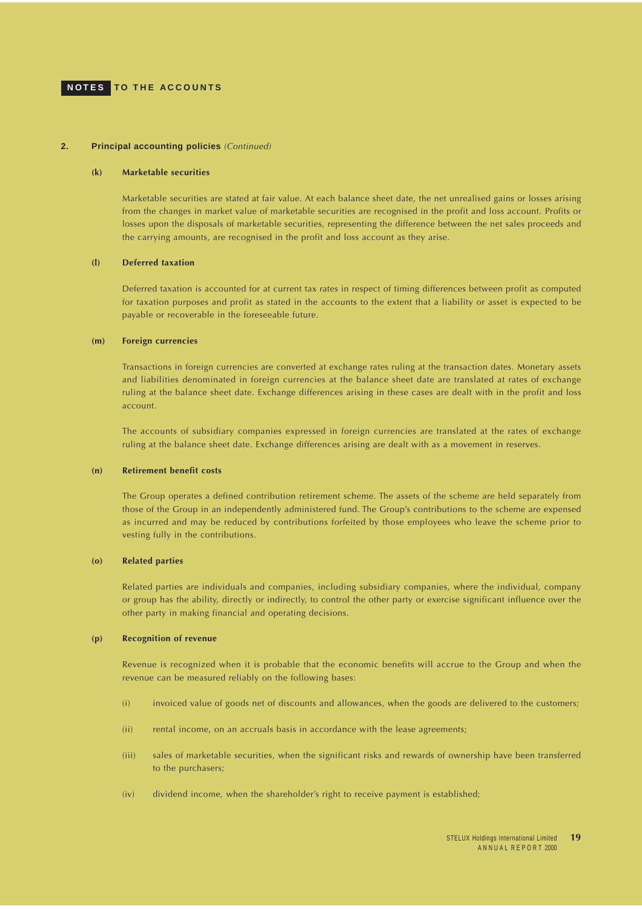#### **2. Principal accounting policies** (Continued)

#### **(k) Marketable securities**

Marketable securities are stated at fair value. At each balance sheet date, the net unrealised gains or losses arising from the changes in market value of marketable securities are recognised in the profit and loss account. Profits or losses upon the disposals of marketable securities, representing the difference between the net sales proceeds and the carrying amounts, are recognised in the profit and loss account as they arise.

#### **(l) Deferred taxation**

Deferred taxation is accounted for at current tax rates in respect of timing differences between profit as computed for taxation purposes and profit as stated in the accounts to the extent that a liability or asset is expected to be payable or recoverable in the foreseeable future.

#### **(m) Foreign currencies**

Transactions in foreign currencies are converted at exchange rates ruling at the transaction dates. Monetary assets and liabilities denominated in foreign currencies at the balance sheet date are translated at rates of exchange ruling at the balance sheet date. Exchange differences arising in these cases are dealt with in the profit and loss account.

The accounts of subsidiary companies expressed in foreign currencies are translated at the rates of exchange ruling at the balance sheet date. Exchange differences arising are dealt with as a movement in reserves.

#### **(n) Retirement benefit costs**

The Group operates a defined contribution retirement scheme. The assets of the scheme are held separately from those of the Group in an independently administered fund. The Group's contributions to the scheme are expensed as incurred and may be reduced by contributions forfeited by those employees who leave the scheme prior to vesting fully in the contributions.

## **(o) Related parties**

Related parties are individuals and companies, including subsidiary companies, where the individual, company or group has the ability, directly or indirectly, to control the other party or exercise significant influence over the other party in making financial and operating decisions.

#### **(p) Recognition of revenue**

Revenue is recognized when it is probable that the economic benefits will accrue to the Group and when the revenue can be measured reliably on the following bases:

- (i) invoiced value of goods net of discounts and allowances, when the goods are delivered to the customers;
- (ii) rental income, on an accruals basis in accordance with the lease agreements;
- (iii) sales of marketable securities, when the significant risks and rewards of ownership have been transferred to the purchasers;
- (iv) dividend income, when the shareholder's right to receive payment is established;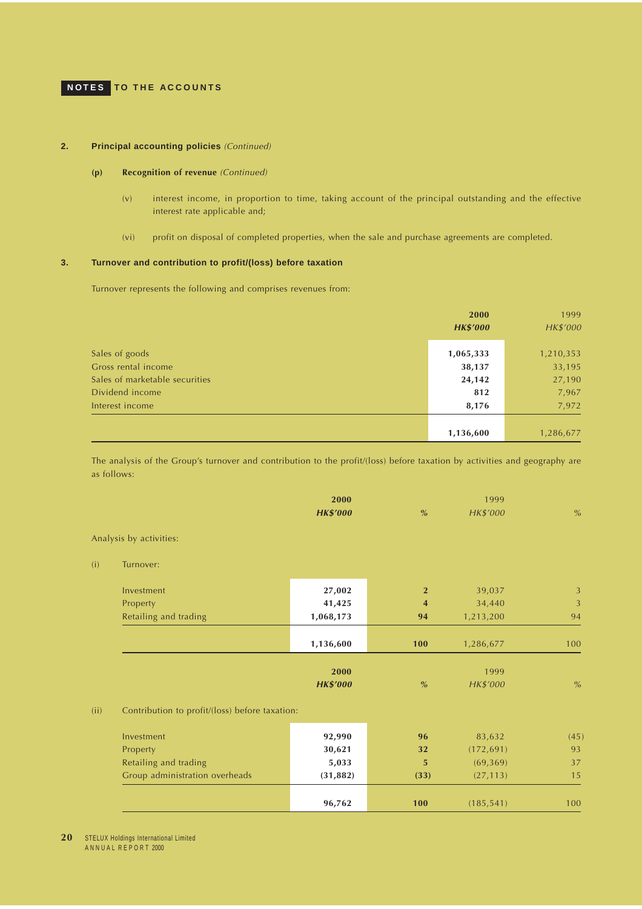## <span id="page-19-0"></span>**NOTES TO THE ACCOUNTS**

## **2. Principal accounting policies** (Continued)

## **(p) Recognition of revenue** (Continued)

- (v) interest income, in proportion to time, taking account of the principal outstanding and the effective interest rate applicable and;
- (vi) profit on disposal of completed properties, when the sale and purchase agreements are completed.

## **3. Turnover and contribution to profit/(loss) before taxation**

Turnover represents the following and comprises revenues from:

|                                | <b>2000</b>     | 1999      |
|--------------------------------|-----------------|-----------|
|                                | <b>HK\$'000</b> | HK\$'000  |
|                                |                 |           |
| Sales of goods                 | 1,065,333       | 1,210,353 |
| Gross rental income            | 38,137          | 33,195    |
| Sales of marketable securities | 24,142          | 27,190    |
| Dividend income                | 812             | 7,967     |
| Interest income                | 8,176           | 7,972     |
|                                |                 |           |
|                                | 1,136,600       | 1,286,677 |

The analysis of the Group's turnover and contribution to the profit/(loss) before taxation by activities and geography are as follows:

|      |                                                | 2000<br><b>HK\$'000</b> | $\%$           | 1999<br>HK\$'000 | $\%$ |
|------|------------------------------------------------|-------------------------|----------------|------------------|------|
|      | Analysis by activities:                        |                         |                |                  |      |
| (i)  | Turnover:                                      |                         |                |                  |      |
|      | Investment                                     | 27,002                  | $\overline{2}$ | 39,037           | 3    |
|      | Property                                       | 41,425                  | $\overline{4}$ | 34,440           | 3    |
|      | Retailing and trading                          | 1,068,173               | 94             | 1,213,200        | 94   |
|      |                                                | 1,136,600               | 100            | 1,286,677        | 100  |
|      |                                                | 2000                    |                | 1999             |      |
|      |                                                | <b>HK\$'000</b>         | $\%$           | HK\$'000         | $\%$ |
| (ii) | Contribution to profit/(loss) before taxation: |                         |                |                  |      |
|      | Investment                                     | 92,990                  | 96             | 83,632           | (45) |
|      | Property                                       | 30,621                  | 32             | (172, 691)       | 93   |
|      | Retailing and trading                          | 5,033                   | 5              | (69, 369)        | 37   |
|      | Group administration overheads                 | (31, 882)               | (33)           | (27, 113)        | 15   |
|      |                                                | 96,762                  | 100            | (185, 541)       | 100  |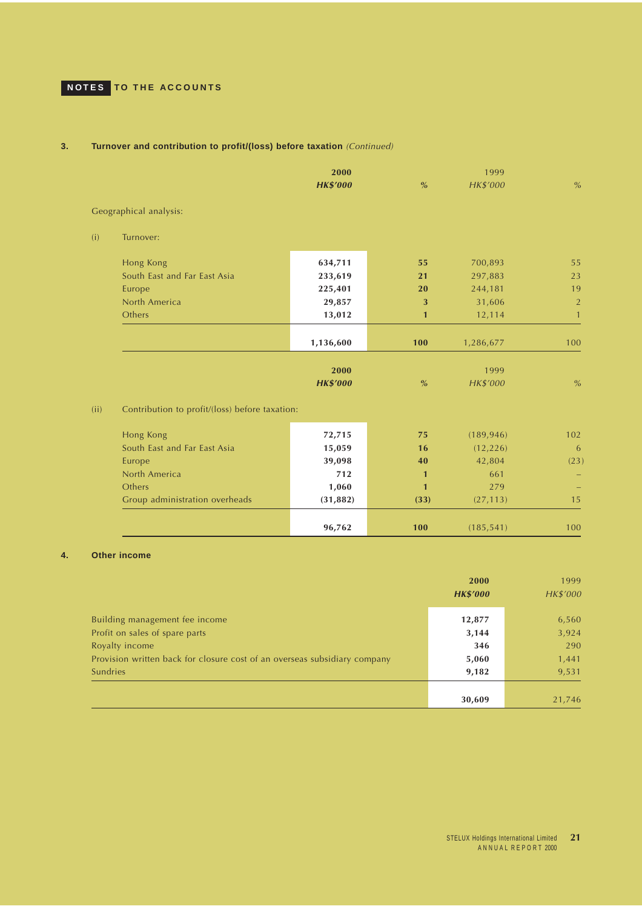# <span id="page-20-0"></span>**NOTES TO THE ACCOUNTS**

## **3. Turnover and contribution to profit/(loss) before taxation** (Continued)

|      |                                                | 2000<br><b>HK\$'000</b> | $\%$         | 1999<br>HK\$'000 | $\%$           |
|------|------------------------------------------------|-------------------------|--------------|------------------|----------------|
|      | Geographical analysis:                         |                         |              |                  |                |
| (i)  | Turnover:                                      |                         |              |                  |                |
|      | Hong Kong                                      | 634,711                 | 55           | 700,893          | 55             |
|      | South East and Far East Asia                   | 233,619                 | 21           | 297,883          | 23             |
|      | Europe                                         | 225,401                 | 20           | 244,181          | 19             |
|      | North America                                  | 29,857                  | 3            | 31,606           | $\overline{2}$ |
|      | Others                                         | 13,012                  | $\mathbf{1}$ | 12,114           | $\mathbf{1}$   |
|      |                                                | 1,136,600               | 100          | 1,286,677        | 100            |
|      |                                                | 2000                    |              | 1999             |                |
|      |                                                | <b>HK\$'000</b>         | $\%$         | HK\$'000         | $\%$           |
| (ii) | Contribution to profit/(loss) before taxation: |                         |              |                  |                |
|      | Hong Kong                                      | 72,715                  | 75           | (189, 946)       | 102            |
|      | South East and Far East Asia                   | 15,059                  | 16           | (12, 226)        | 6              |
|      | Europe                                         | 39,098                  | 40           | 42,804           | (23)           |
|      | North America                                  | 712                     | $\mathbf{1}$ | 661              |                |
|      | Others                                         | 1,060                   | $\mathbf{1}$ | 279              |                |
|      | Group administration overheads                 | (31, 882)               | (33)         | (27, 113)        | 15             |
|      |                                                | 96,762                  | 100          | (185, 541)       | 100            |

## **4. Other income**

|                                                                           | 2000<br><b>HK\$'000</b> | 1999<br><b>HK\$'000</b> |
|---------------------------------------------------------------------------|-------------------------|-------------------------|
| Building management fee income                                            | 12,877                  | 6,560                   |
| Profit on sales of spare parts                                            | 3,144                   | 3,924                   |
| Royalty income                                                            | 346                     | 290                     |
| Provision written back for closure cost of an overseas subsidiary company | 5,060                   | 1,441                   |
| Sundries                                                                  | 9,182                   | 9,531                   |
|                                                                           |                         |                         |
|                                                                           | 30,609                  | 21,746                  |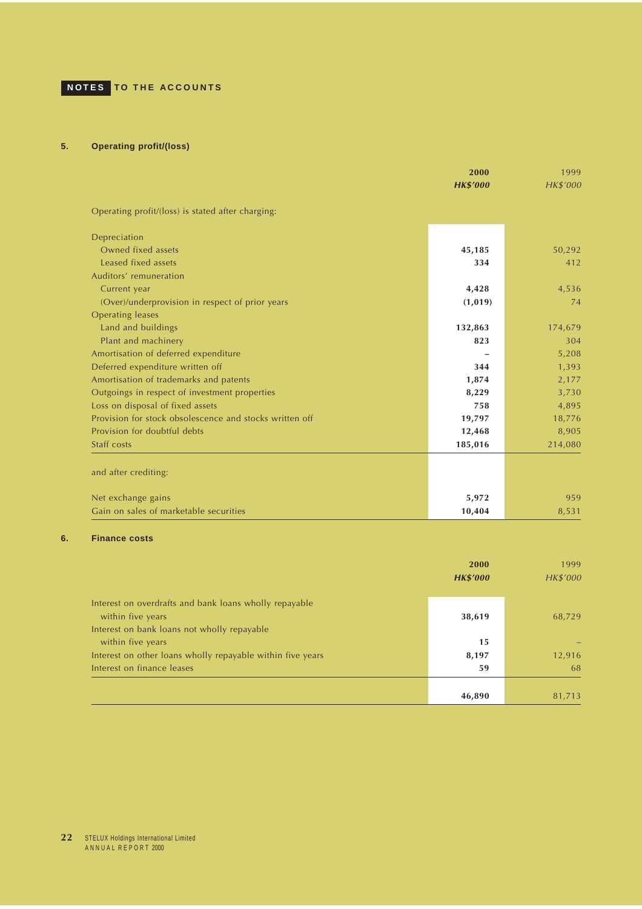## <span id="page-21-0"></span>**5. Operating profit/(loss)**

|                                                         | 2000<br><b>HK\$'000</b> | 1999<br>HK\$'000 |
|---------------------------------------------------------|-------------------------|------------------|
|                                                         |                         |                  |
| Operating profit/(loss) is stated after charging:       |                         |                  |
| Depreciation                                            |                         |                  |
| Owned fixed assets                                      | 45,185                  | 50,292           |
| Leased fixed assets                                     | 334                     | 412              |
| Auditors' remuneration                                  |                         |                  |
| Current year                                            | 4,428                   | 4,536            |
| (Over)/underprovision in respect of prior years         | (1,019)                 | 74               |
| <b>Operating leases</b>                                 |                         |                  |
| Land and buildings                                      | 132,863                 | 174,679          |
| Plant and machinery                                     | 823                     | 304              |
| Amortisation of deferred expenditure                    |                         | 5,208            |
| Deferred expenditure written off                        | 344                     | 1,393            |
| Amortisation of trademarks and patents                  | 1,874                   | 2,177            |
| Outgoings in respect of investment properties           | 8,229                   | 3,730            |
| Loss on disposal of fixed assets                        | 758                     | 4,895            |
| Provision for stock obsolescence and stocks written off | 19,797                  | 18,776           |
| Provision for doubtful debts                            | 12,468                  | 8,905            |
| Staff costs                                             | 185,016                 | 214,080          |
| and after crediting:                                    |                         |                  |
| Net exchange gains                                      | 5,972                   | 959              |
| Gain on sales of marketable securities                  | 10,404                  | 8,531            |

## **6. Finance costs**

|                                                                                                                            | 2000<br><b>HK\$'000</b> | 1999<br><b>HK\$'000</b> |
|----------------------------------------------------------------------------------------------------------------------------|-------------------------|-------------------------|
| Interest on overdrafts and bank loans wholly repayable<br>within five years<br>Interest on bank loans not wholly repayable | 38,619                  | 68,729                  |
| within five years                                                                                                          | 15                      |                         |
| Interest on other loans wholly repayable within five years                                                                 | 8,197                   | 12,916                  |
| Interest on finance leases                                                                                                 | 59                      | 68                      |
|                                                                                                                            |                         |                         |
|                                                                                                                            | 46,890                  | 81,713                  |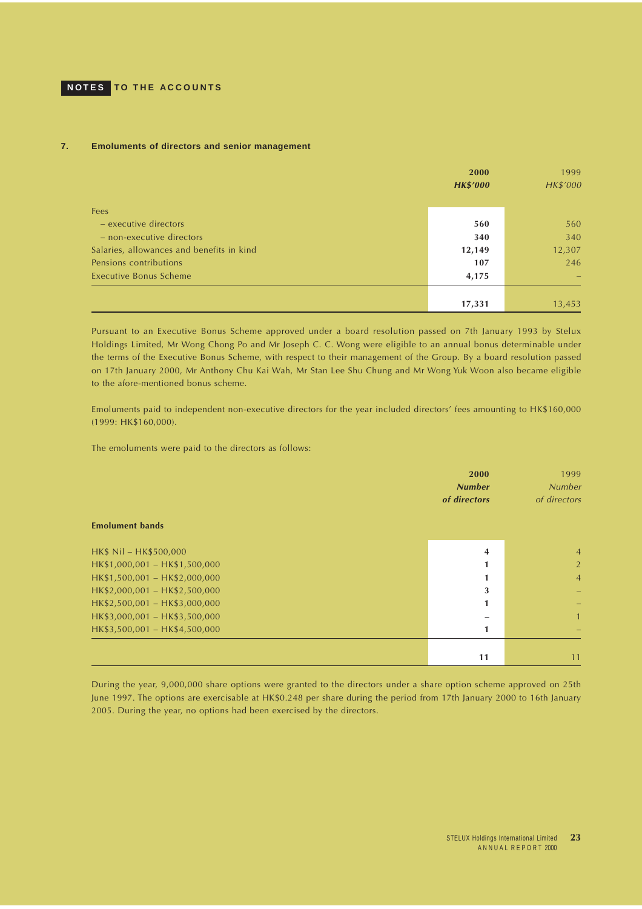## **7. Emoluments of directors and senior management**

|                                           | 2000            | 1999     |
|-------------------------------------------|-----------------|----------|
|                                           | <b>HK\$'000</b> | HK\$'000 |
|                                           |                 |          |
| <b>Fees</b>                               |                 |          |
| - executive directors                     | 560             | 560      |
| - non-executive directors                 | 340             | 340      |
| Salaries, allowances and benefits in kind | 12,149          | 12,307   |
| Pensions contributions                    | 107             | 246      |
| <b>Executive Bonus Scheme</b>             | 4,175           |          |
|                                           |                 |          |
|                                           | 17,331          | 13,453   |

Pursuant to an Executive Bonus Scheme approved under a board resolution passed on 7th January 1993 by Stelux Holdings Limited, Mr Wong Chong Po and Mr Joseph C. C. Wong were eligible to an annual bonus determinable under the terms of the Executive Bonus Scheme, with respect to their management of the Group. By a board resolution passed on 17th January 2000, Mr Anthony Chu Kai Wah, Mr Stan Lee Shu Chung and Mr Wong Yuk Woon also became eligible to the afore-mentioned bonus scheme.

Emoluments paid to independent non-executive directors for the year included directors' fees amounting to HK\$160,000 (1999: HK\$160,000).

The emoluments were paid to the directors as follows:

| <b>Emolument bands</b>        | 2000<br><b>Number</b><br>of directors | 1999<br><b>Number</b><br>of directors |
|-------------------------------|---------------------------------------|---------------------------------------|
|                               |                                       |                                       |
| HK\$ Nil - HK\$500,000        | 4                                     | $\overline{4}$                        |
| HK\$1,000,001 - HK\$1,500,000 |                                       | $\overline{2}$                        |
| HK\$1,500,001 - HK\$2,000,000 |                                       | $\overline{4}$                        |
| HK\$2,000,001 - HK\$2,500,000 | 3                                     |                                       |
| HK\$2,500,001 - HK\$3,000,000 |                                       |                                       |
| HK\$3,000,001 - HK\$3,500,000 |                                       |                                       |
| HK\$3,500,001 - HK\$4,500,000 |                                       |                                       |
|                               |                                       |                                       |
|                               | 11                                    | 11                                    |

During the year, 9,000,000 share options were granted to the directors under a share option scheme approved on 25th June 1997. The options are exercisable at HK\$0.248 per share during the period from 17th January 2000 to 16th January 2005. During the year, no options had been exercised by the directors.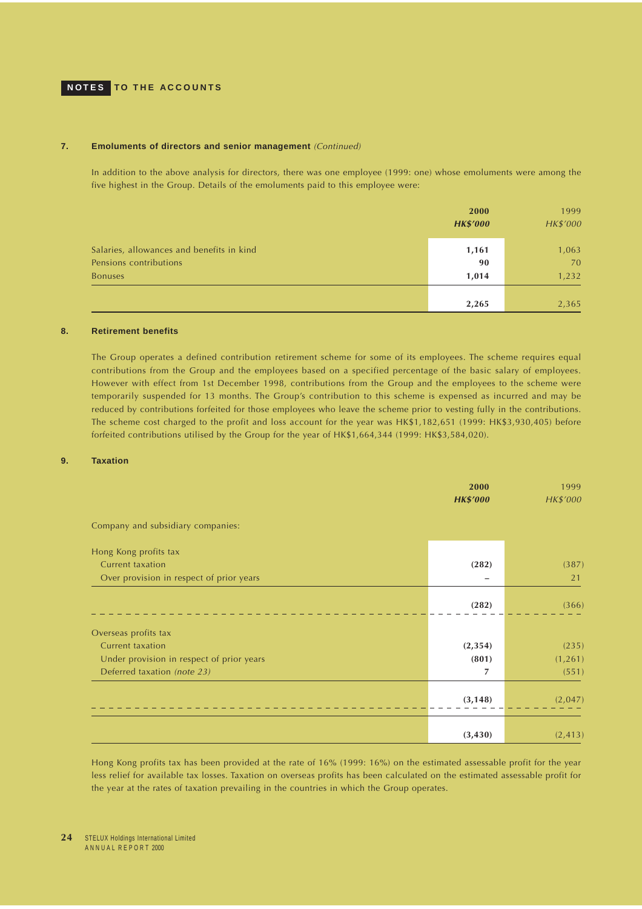## <span id="page-23-0"></span>**NOTES TO THE ACCOUNTS**

### **7. Emoluments of directors and senior management** (Continued)

In addition to the above analysis for directors, there was one employee (1999: one) whose emoluments were among the five highest in the Group. Details of the emoluments paid to this employee were:

|                                                                     | 2000<br><b>HK\$'000</b> | 1999<br>HK\$'000 |
|---------------------------------------------------------------------|-------------------------|------------------|
| Salaries, allowances and benefits in kind<br>Pensions contributions | 1,161                   | 1,063<br>70      |
| <b>Bonuses</b>                                                      | 90<br>1,014             | 1,232            |
|                                                                     | 2,265                   | 2,365            |

## **8. Retirement benefits**

The Group operates a defined contribution retirement scheme for some of its employees. The scheme requires equal contributions from the Group and the employees based on a specified percentage of the basic salary of employees. However with effect from 1st December 1998, contributions from the Group and the employees to the scheme were temporarily suspended for 13 months. The Group's contribution to this scheme is expensed as incurred and may be reduced by contributions forfeited for those employees who leave the scheme prior to vesting fully in the contributions. The scheme cost charged to the profit and loss account for the year was HK\$1,182,651 (1999: HK\$3,930,405) before forfeited contributions utilised by the Group for the year of HK\$1,664,344 (1999: HK\$3,584,020).

### **9. Taxation**

|                                           | 2000<br><b>HK\$'000</b> | 1999<br>HK\$'000 |
|-------------------------------------------|-------------------------|------------------|
| Company and subsidiary companies:         |                         |                  |
| Hong Kong profits tax                     |                         |                  |
| Current taxation                          | (282)                   | (387)            |
| Over provision in respect of prior years  | -                       | 21               |
|                                           | (282)                   | (366)            |
| Overseas profits tax                      |                         |                  |
| Current taxation                          | (2, 354)                | (235)            |
| Under provision in respect of prior years | (801)                   | (1, 261)         |
| Deferred taxation (note 23)               | 7                       | (551)            |
|                                           | (3, 148)                | (2,047)          |
|                                           | (3, 430)                | (2, 413)         |

Hong Kong profits tax has been provided at the rate of 16% (1999: 16%) on the estimated assessable profit for the year less relief for available tax losses. Taxation on overseas profits has been calculated on the estimated assessable profit for the year at the rates of taxation prevailing in the countries in which the Group operates.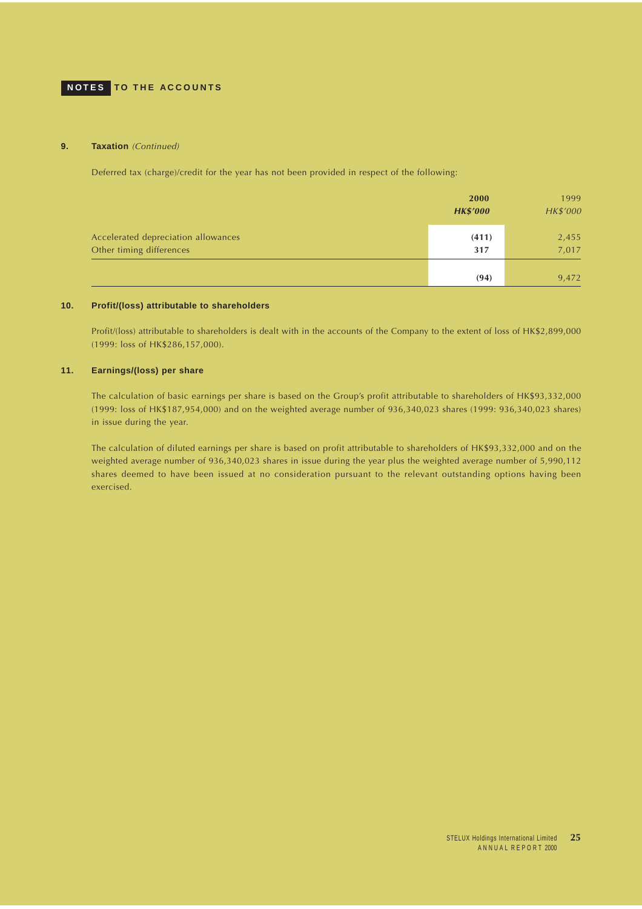### <span id="page-24-0"></span>**9.** Taxation (Continued)

Deferred tax (charge)/credit for the year has not been provided in respect of the following:

|                                                                 | 2000<br><b>HK\$'000</b> | 1999<br>HK\$'000 |
|-----------------------------------------------------------------|-------------------------|------------------|
| Accelerated depreciation allowances<br>Other timing differences | (411)<br>317            | 2,455<br>7,017   |
|                                                                 | (94)                    | 9,472            |

## **10. Profit/(loss) attributable to shareholders**

Profit/(loss) attributable to shareholders is dealt with in the accounts of the Company to the extent of loss of HK\$2,899,000 (1999: loss of HK\$286,157,000).

## **11. Earnings/(loss) per share**

The calculation of basic earnings per share is based on the Group's profit attributable to shareholders of HK\$93,332,000 (1999: loss of HK\$187,954,000) and on the weighted average number of 936,340,023 shares (1999: 936,340,023 shares) in issue during the year.

The calculation of diluted earnings per share is based on profit attributable to shareholders of HK\$93,332,000 and on the weighted average number of 936,340,023 shares in issue during the year plus the weighted average number of 5,990,112 shares deemed to have been issued at no consideration pursuant to the relevant outstanding options having been exercised.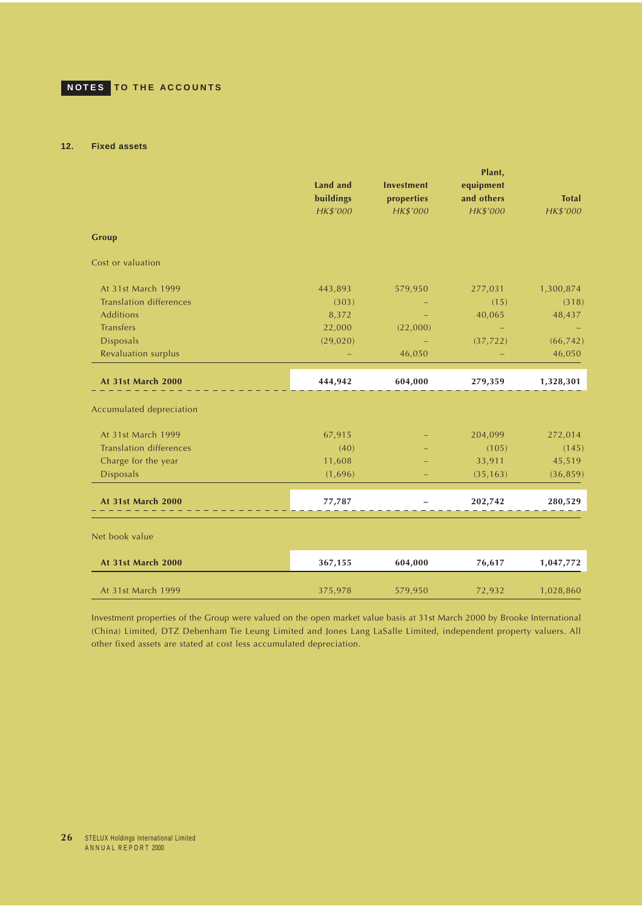## <span id="page-25-0"></span>**12. Fixed assets**

|                                | Land and<br>buildings<br>HK\$'000 | <b>Investment</b><br>properties<br>HK\$'000 | Plant,<br>equipment<br>and others<br>HK\$'000 | <b>Total</b><br>HK\$'000 |
|--------------------------------|-----------------------------------|---------------------------------------------|-----------------------------------------------|--------------------------|
| <b>Group</b>                   |                                   |                                             |                                               |                          |
| Cost or valuation              |                                   |                                             |                                               |                          |
| At 31st March 1999             | 443,893                           | 579,950                                     | 277,031                                       | 1,300,874                |
| <b>Translation differences</b> | (303)                             |                                             | (15)                                          | (318)                    |
| <b>Additions</b>               | 8,372                             |                                             | 40,065                                        | 48,437                   |
| <b>Transfers</b>               | 22,000                            | (22,000)                                    |                                               |                          |
| <b>Disposals</b>               | (29, 020)                         |                                             | (37, 722)                                     | (66, 742)                |
| Revaluation surplus            |                                   | 46,050                                      |                                               | 46,050                   |
| At 31st March 2000             | 444,942                           | 604,000                                     | 279,359                                       | 1,328,301                |
| Accumulated depreciation       |                                   |                                             |                                               |                          |
| At 31st March 1999             | 67,915                            |                                             | 204,099                                       | 272,014                  |
| <b>Translation differences</b> | (40)                              |                                             | (105)                                         | (145)                    |
| Charge for the year            | 11,608                            |                                             | 33,911                                        | 45,519                   |
| <b>Disposals</b>               | (1,696)                           |                                             | (35, 163)                                     | (36, 859)                |
| At 31st March 2000             | 77,787                            | $\qquad \qquad -$                           | 202,742                                       | 280,529                  |
| Net book value                 |                                   |                                             |                                               |                          |
| At 31st March 2000             | 367,155                           | 604,000                                     | 76,617                                        | 1,047,772                |
| At 31st March 1999             | 375,978                           | 579,950                                     | 72,932                                        | 1,028,860                |

Investment properties of the Group were valued on the open market value basis at 31st March 2000 by Brooke International (China) Limited, DTZ Debenham Tie Leung Limited and Jones Lang LaSalle Limited, independent property valuers. All other fixed assets are stated at cost less accumulated depreciation.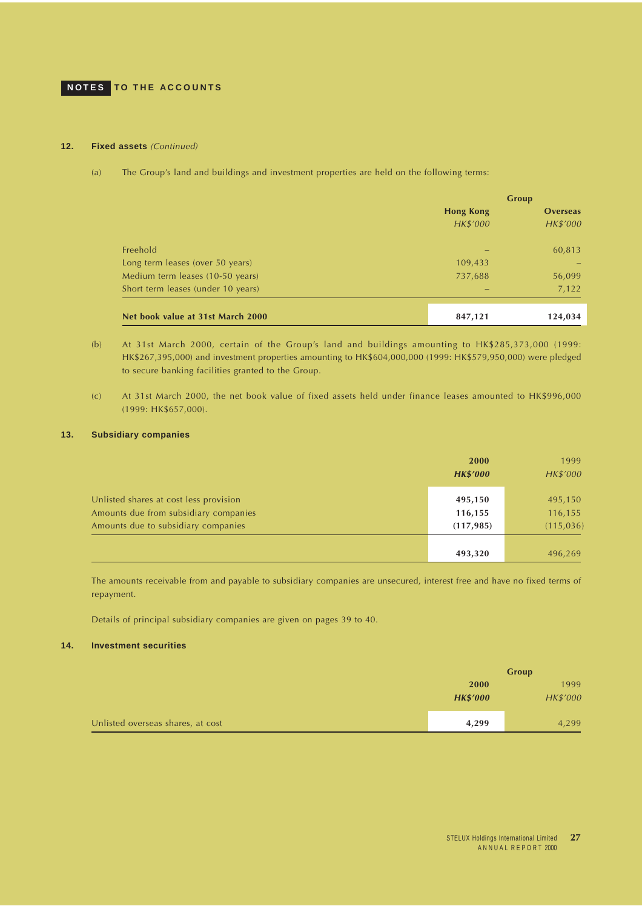#### <span id="page-26-0"></span>**12. Fixed assets** (Continued)

(a) The Group's land and buildings and investment properties are held on the following terms:

|                                    |                  | Group           |  |
|------------------------------------|------------------|-----------------|--|
|                                    | <b>Hong Kong</b> | <b>Overseas</b> |  |
|                                    | HK\$'000         | HK\$'000        |  |
| Freehold                           |                  | 60,813          |  |
| Long term leases (over 50 years)   | 109,433          |                 |  |
| Medium term leases (10-50 years)   | 737,688          | 56,099          |  |
| Short term leases (under 10 years) |                  | 7,122           |  |
|                                    |                  |                 |  |
| Net book value at 31st March 2000  | 847,121          | 124,034         |  |

- (b) At 31st March 2000, certain of the Group's land and buildings amounting to HK\$285,373,000 (1999: HK\$267,395,000) and investment properties amounting to HK\$604,000,000 (1999: HK\$579,950,000) were pledged to secure banking facilities granted to the Group.
- (c) At 31st March 2000, the net book value of fixed assets held under finance leases amounted to HK\$996,000 (1999: HK\$657,000).

### **13. Subsidiary companies**

|                                        | 2000            | 1999      |
|----------------------------------------|-----------------|-----------|
|                                        | <b>HK\$'000</b> | HK\$'000  |
| Unlisted shares at cost less provision | 495,150         | 495,150   |
| Amounts due from subsidiary companies  | 116,155         | 116,155   |
| Amounts due to subsidiary companies    | (117, 985)      | (115,036) |
|                                        |                 |           |
|                                        | 493,320         | 496,269   |

The amounts receivable from and payable to subsidiary companies are unsecured, interest free and have no fixed terms of repayment.

Details of principal subsidiary companies are given on pages 39 to 40.

## **14. Investment securities**

|                                   | Group           |          |
|-----------------------------------|-----------------|----------|
|                                   | <b>2000</b>     | 1999     |
|                                   | <b>HK\$'000</b> | HK\$'000 |
|                                   |                 |          |
| Unlisted overseas shares, at cost | 4,299           | 4,299    |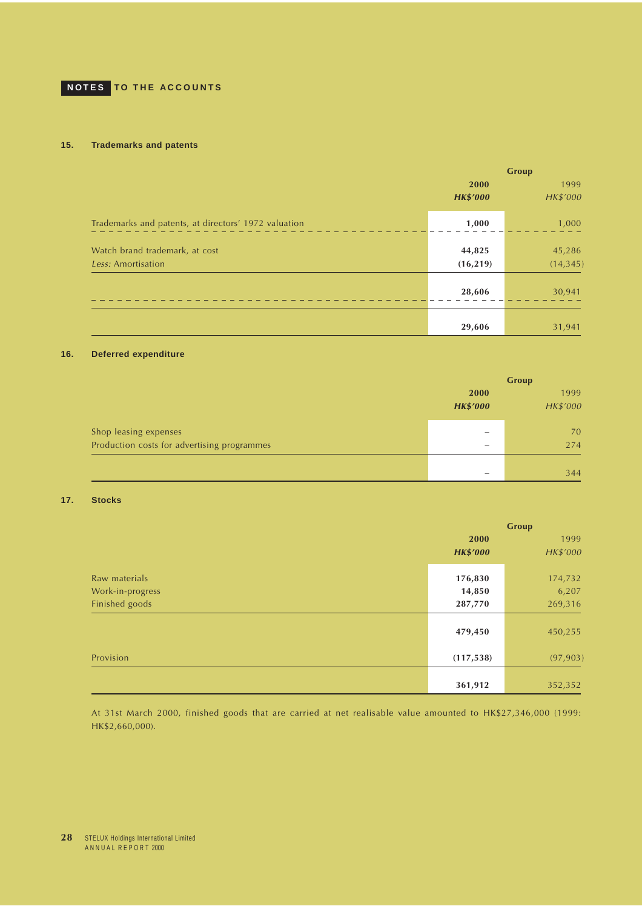## <span id="page-27-0"></span>**15. Trademarks and patents**

|                                                      |                         | Group               |
|------------------------------------------------------|-------------------------|---------------------|
|                                                      | 2000<br><b>HK\$'000</b> | 1999<br>HK\$'000    |
| Trademarks and patents, at directors' 1972 valuation | 1,000                   | 1,000               |
| Watch brand trademark, at cost<br>Less: Amortisation | 44,825<br>(16, 219)     | 45,286<br>(14, 345) |
|                                                      | 28,606                  | 30,941              |
|                                                      | 29,606                  | 31,941              |

### **16. Deferred expenditure**

|                                             | Group                    |          |  |
|---------------------------------------------|--------------------------|----------|--|
|                                             | 2000                     | 1999     |  |
|                                             | <b>HK\$'000</b>          | HK\$'000 |  |
| Shop leasing expenses                       |                          | 70       |  |
| Production costs for advertising programmes | $\hspace{0.05cm}$        | 274      |  |
|                                             |                          |          |  |
|                                             | $\overline{\phantom{a}}$ | 344      |  |

## **17. Stocks**

|                  | <b>Group</b>    |           |
|------------------|-----------------|-----------|
|                  | 2000            | 1999      |
|                  | <b>HK\$'000</b> | HK\$'000  |
|                  |                 |           |
| Raw materials    | 176,830         | 174,732   |
| Work-in-progress | 14,850          | 6,207     |
| Finished goods   | 287,770         | 269,316   |
|                  |                 |           |
|                  | 479,450         | 450,255   |
| Provision        | (117, 538)      | (97, 903) |
|                  |                 |           |
|                  | 361,912         | 352,352   |

At 31st March 2000, finished goods that are carried at net realisable value amounted to HK\$27,346,000 (1999: HK\$2,660,000).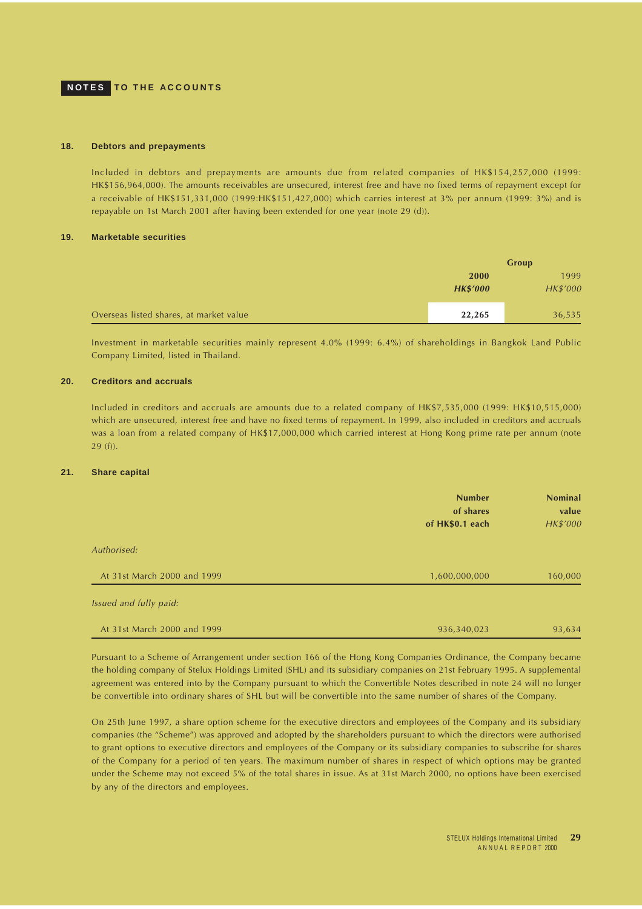## <span id="page-28-0"></span>**NOTES TO THE ACCOUNTS**

#### **18. Debtors and prepayments**

Included in debtors and prepayments are amounts due from related companies of HK\$154,257,000 (1999: HK\$156,964,000). The amounts receivables are unsecured, interest free and have no fixed terms of repayment except for a receivable of HK\$151,331,000 (1999:HK\$151,427,000) which carries interest at 3% per annum (1999: 3%) and is repayable on 1st March 2001 after having been extended for one year (note 29 (d)).

#### **19. Marketable securities**

|                                         | Group           |                 |
|-----------------------------------------|-----------------|-----------------|
|                                         | 2000            | 1999            |
|                                         | <b>HK\$'000</b> | <b>HK\$'000</b> |
|                                         |                 |                 |
| Overseas listed shares, at market value | 22,265          | 36,535          |

Investment in marketable securities mainly represent 4.0% (1999: 6.4%) of shareholdings in Bangkok Land Public Company Limited, listed in Thailand.

## **20. Creditors and accruals**

Included in creditors and accruals are amounts due to a related company of HK\$7,535,000 (1999: HK\$10,515,000) which are unsecured, interest free and have no fixed terms of repayment. In 1999, also included in creditors and accruals was a loan from a related company of HK\$17,000,000 which carried interest at Hong Kong prime rate per annum (note 29 (f)).

## **21. Share capital**

|                             | <b>Number</b><br>of shares<br>of HK\$0.1 each | <b>Nominal</b><br>value<br>HK\$'000 |
|-----------------------------|-----------------------------------------------|-------------------------------------|
| Authorised:                 |                                               |                                     |
| At 31st March 2000 and 1999 | 1,600,000,000                                 | 160,000                             |
| Issued and fully paid:      |                                               |                                     |
| At 31st March 2000 and 1999 | 936,340,023                                   | 93,634                              |

Pursuant to a Scheme of Arrangement under section 166 of the Hong Kong Companies Ordinance, the Company became the holding company of Stelux Holdings Limited (SHL) and its subsidiary companies on 21st February 1995. A supplemental agreement was entered into by the Company pursuant to which the Convertible Notes described in note 24 will no longer be convertible into ordinary shares of SHL but will be convertible into the same number of shares of the Company.

On 25th June 1997, a share option scheme for the executive directors and employees of the Company and its subsidiary companies (the "Scheme") was approved and adopted by the shareholders pursuant to which the directors were authorised to grant options to executive directors and employees of the Company or its subsidiary companies to subscribe for shares of the Company for a period of ten years. The maximum number of shares in respect of which options may be granted under the Scheme may not exceed 5% of the total shares in issue. As at 31st March 2000, no options have been exercised by any of the directors and employees.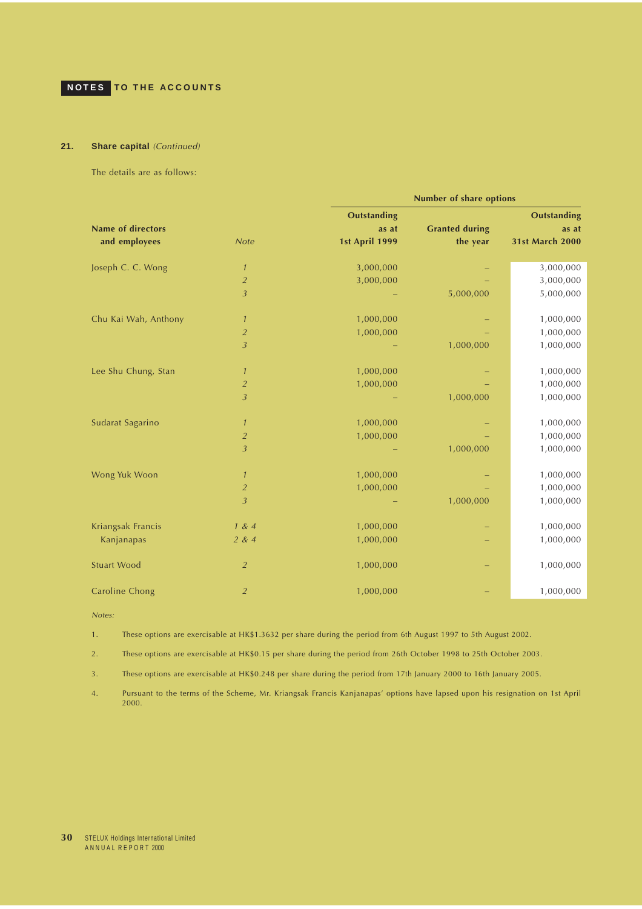## **21. Share capital** (Continued)

The details are as follows:

|                          |                | <b>Number of share options</b> |                       |                        |
|--------------------------|----------------|--------------------------------|-----------------------|------------------------|
|                          |                | <b>Outstanding</b>             |                       | <b>Outstanding</b>     |
| <b>Name of directors</b> |                | as at                          | <b>Granted during</b> | as at                  |
| and employees            | <b>Note</b>    | <b>1st April 1999</b>          | the year              | <b>31st March 2000</b> |
| Joseph C. C. Wong        | $\mathcal{I}$  | 3,000,000                      |                       | 3,000,000              |
|                          | $\overline{2}$ | 3,000,000                      |                       | 3,000,000              |
|                          | $\overline{3}$ |                                | 5,000,000             | 5,000,000              |
| Chu Kai Wah, Anthony     | $\mathcal{I}$  | 1,000,000                      |                       | 1,000,000              |
|                          | $\overline{a}$ | 1,000,000                      |                       | 1,000,000              |
|                          | $\overline{3}$ |                                | 1,000,000             | 1,000,000              |
| Lee Shu Chung, Stan      | $\mathcal{I}$  | 1,000,000                      |                       | 1,000,000              |
|                          | $\overline{2}$ | 1,000,000                      |                       | 1,000,000              |
|                          | 3              |                                | 1,000,000             | 1,000,000              |
| Sudarat Sagarino         | $\mathcal{I}$  | 1,000,000                      |                       | 1,000,000              |
|                          | $\overline{2}$ | 1,000,000                      |                       | 1,000,000              |
|                          | $\overline{3}$ |                                | 1,000,000             | 1,000,000              |
| Wong Yuk Woon            | $\mathcal{I}$  | 1,000,000                      |                       | 1,000,000              |
|                          | $\overline{2}$ | 1,000,000                      |                       | 1,000,000              |
|                          | $\overline{3}$ |                                | 1,000,000             | 1,000,000              |
| Kriangsak Francis        | 1 & 4          | 1,000,000                      |                       | 1,000,000              |
| Kanjanapas               | 2 & 4          | 1,000,000                      |                       | 1,000,000              |
| <b>Stuart Wood</b>       | $\overline{2}$ | 1,000,000                      |                       | 1,000,000              |
| Caroline Chong           | $\overline{2}$ | 1,000,000                      |                       | 1,000,000              |

Notes:

1. These options are exercisable at HK\$1.3632 per share during the period from 6th August 1997 to 5th August 2002.

2. These options are exercisable at HK\$0.15 per share during the period from 26th October 1998 to 25th October 2003.

3. These options are exercisable at HK\$0.248 per share during the period from 17th January 2000 to 16th January 2005.

4. Pursuant to the terms of the Scheme, Mr. Kriangsak Francis Kanjanapas' options have lapsed upon his resignation on 1st April 2000.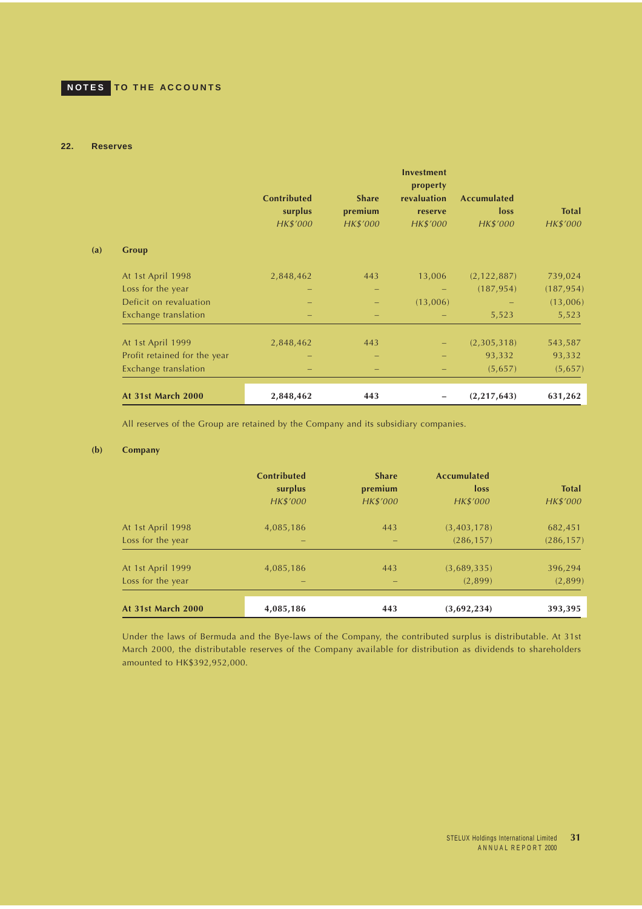### <span id="page-30-0"></span>**22. Reserves**

|     |                              | <b>Contributed</b><br>surplus<br>HK\$'000 | <b>Share</b><br>premium<br>HK\$'000 | <b>Investment</b><br>property<br>revaluation<br>reserve<br>HK\$'000 | <b>Accumulated</b><br>loss<br>HK\$'000 | <b>Total</b><br>HK\$'000 |
|-----|------------------------------|-------------------------------------------|-------------------------------------|---------------------------------------------------------------------|----------------------------------------|--------------------------|
| (a) | Group                        |                                           |                                     |                                                                     |                                        |                          |
|     | At 1st April 1998            | 2,848,462                                 | 443                                 | 13,006                                                              | (2, 122, 887)                          | 739,024                  |
|     | Loss for the year            |                                           |                                     | -                                                                   | (187, 954)                             | (187, 954)               |
|     | Deficit on revaluation       |                                           |                                     | (13,006)                                                            |                                        | (13,006)                 |
|     | Exchange translation         |                                           |                                     |                                                                     | 5,523                                  | 5,523                    |
|     | At 1st April 1999            | 2,848,462                                 | 443                                 |                                                                     | (2,305,318)                            | 543,587                  |
|     | Profit retained for the year |                                           |                                     |                                                                     | 93,332                                 | 93,332                   |
|     | Exchange translation         |                                           |                                     |                                                                     | (5,657)                                | (5,657)                  |
|     | At 31st March 2000           | 2,848,462                                 | 443                                 |                                                                     | (2,217,643)                            | 631,262                  |

All reserves of the Group are retained by the Company and its subsidiary companies.

## **(b) Company**

|                           | <b>Contributed</b><br>surplus<br>HK\$'000 | <b>Share</b><br>premium<br>HK\$'000 | <b>Accumulated</b><br>loss<br>HK\$'000 | <b>Total</b><br>HK\$'000 |
|---------------------------|-------------------------------------------|-------------------------------------|----------------------------------------|--------------------------|
| At 1st April 1998         | 4,085,186                                 | 443                                 | (3,403,178)                            | 682,451                  |
| Loss for the year         |                                           |                                     | (286, 157)                             | (286, 157)               |
| At 1st April 1999         | 4,085,186                                 | 443                                 | (3,689,335)                            | 396,294                  |
| Loss for the year         |                                           | $\overline{\phantom{0}}$            | (2,899)                                | (2,899)                  |
| <b>At 31st March 2000</b> | 4,085,186                                 | 443                                 | (3,692,234)                            | 393,395                  |

Under the laws of Bermuda and the Bye-laws of the Company, the contributed surplus is distributable. At 31st March 2000, the distributable reserves of the Company available for distribution as dividends to shareholders amounted to HK\$392,952,000.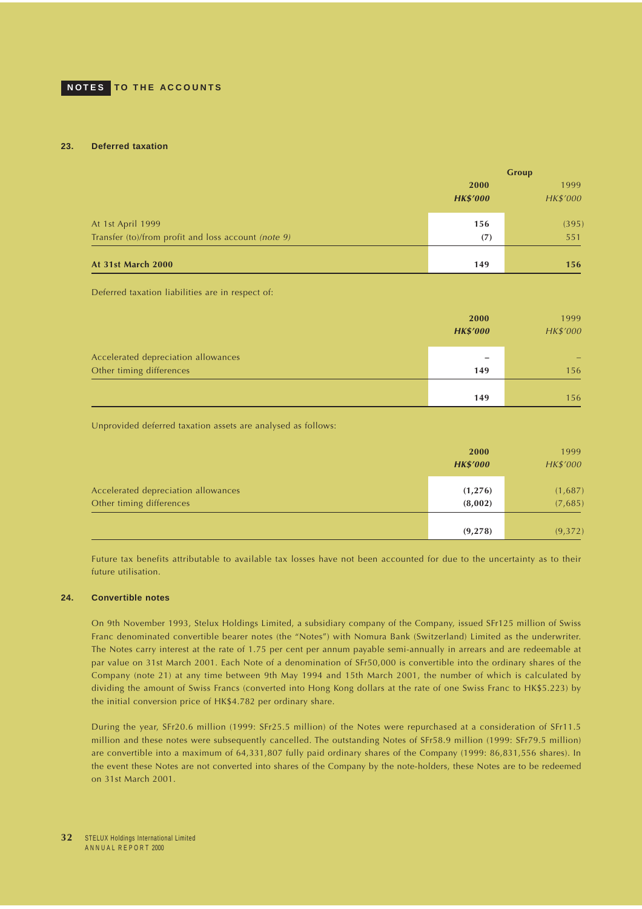#### <span id="page-31-0"></span>**23. Deferred taxation**

|                                                     |                 | Group    |
|-----------------------------------------------------|-----------------|----------|
|                                                     | 2000            | 1999     |
|                                                     | <b>HK\$'000</b> | HK\$'000 |
| At 1st April 1999                                   | 156             | (395)    |
| Transfer (to)/from profit and loss account (note 9) | (7)             | 551      |
| At 31st March 2000                                  | 149             | 156      |

Deferred taxation liabilities are in respect of:

|                                                                 | 2000<br><b>HK\$'000</b> | 1999<br>HK\$'000 |
|-----------------------------------------------------------------|-------------------------|------------------|
| Accelerated depreciation allowances<br>Other timing differences | 149                     | 156              |
|                                                                 | 149                     | 156              |

Unprovided deferred taxation assets are analysed as follows:

|                                                                 | 2000<br><b>HK\$'000</b> | 1999<br>HK\$'000   |
|-----------------------------------------------------------------|-------------------------|--------------------|
| Accelerated depreciation allowances<br>Other timing differences | (1, 276)<br>(8,002)     | (1,687)<br>(7,685) |
|                                                                 | (9, 278)                | (9,372)            |

Future tax benefits attributable to available tax losses have not been accounted for due to the uncertainty as to their future utilisation.

#### **24. Convertible notes**

On 9th November 1993, Stelux Holdings Limited, a subsidiary company of the Company, issued SFr125 million of Swiss Franc denominated convertible bearer notes (the "Notes") with Nomura Bank (Switzerland) Limited as the underwriter. The Notes carry interest at the rate of 1.75 per cent per annum payable semi-annually in arrears and are redeemable at par value on 31st March 2001. Each Note of a denomination of SFr50,000 is convertible into the ordinary shares of the Company (note 21) at any time between 9th May 1994 and 15th March 2001, the number of which is calculated by dividing the amount of Swiss Francs (converted into Hong Kong dollars at the rate of one Swiss Franc to HK\$5.223) by the initial conversion price of HK\$4.782 per ordinary share.

During the year, SFr20.6 million (1999: SFr25.5 million) of the Notes were repurchased at a consideration of SFr11.5 million and these notes were subsequently cancelled. The outstanding Notes of SFr58.9 million (1999: SFr79.5 million) are convertible into a maximum of 64,331,807 fully paid ordinary shares of the Company (1999: 86,831,556 shares). In the event these Notes are not converted into shares of the Company by the note-holders, these Notes are to be redeemed on 31st March 2001.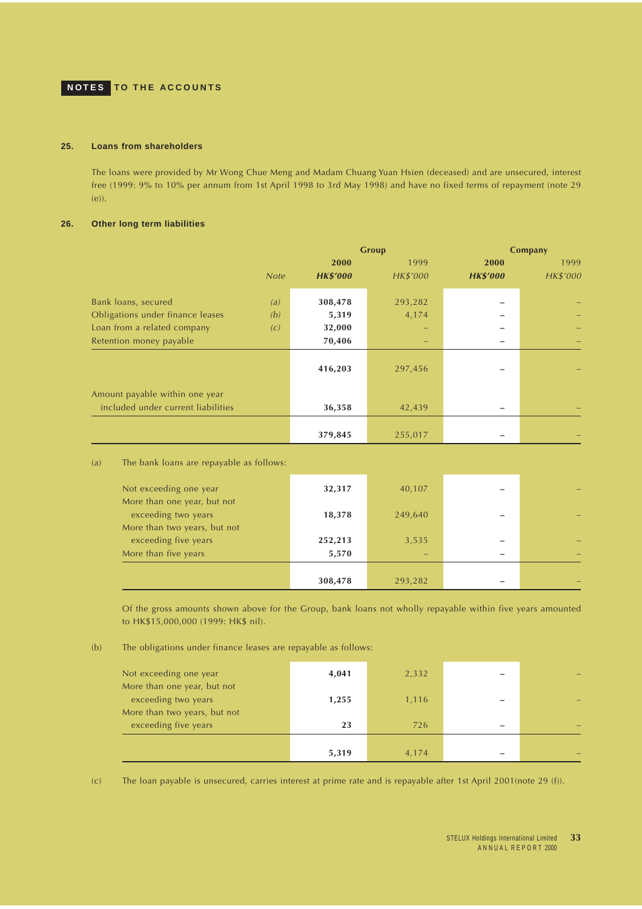## <span id="page-32-0"></span>**25. Loans from shareholders**

The loans were provided by Mr Wong Chue Meng and Madam Chuang Yuan Hsien (deceased) and are unsecured, interest free (1999: 9% to 10% per annum from 1st April 1998 to 3rd May 1998) and have no fixed terms of repayment (note 29 (e)).

## **26. Other long term liabilities**

|                                                                      |             | Group           |          |                 | Company  |  |  |
|----------------------------------------------------------------------|-------------|-----------------|----------|-----------------|----------|--|--|
|                                                                      |             | 2000            | 1999     | 2000            | 1999     |  |  |
|                                                                      | <b>Note</b> | <b>HK\$'000</b> | HK\$'000 | <b>HK\$'000</b> | HK\$'000 |  |  |
| Bank loans, secured                                                  | (a)         | 308,478         | 293,282  |                 |          |  |  |
| Obligations under finance leases                                     | (b)         | 5,319           | 4,174    |                 |          |  |  |
| Loan from a related company                                          | (c)         | 32,000          |          |                 |          |  |  |
| Retention money payable                                              |             | 70,406          |          |                 |          |  |  |
|                                                                      |             | 416,203         | 297,456  |                 |          |  |  |
| Amount payable within one year<br>included under current liabilities |             | 36,358          | 42,439   |                 |          |  |  |
|                                                                      |             | 379,845         | 255,017  |                 |          |  |  |

| (a) |  |  |  |  |  |  |  | The bank loans are repayable as follows: |
|-----|--|--|--|--|--|--|--|------------------------------------------|
|-----|--|--|--|--|--|--|--|------------------------------------------|

| Not exceeding one year                               | 32,317  | 40,107  |  |
|------------------------------------------------------|---------|---------|--|
| More than one year, but not<br>exceeding two years   | 18,378  | 249,640 |  |
| More than two years, but not<br>exceeding five years | 252,213 | 3,535   |  |
| More than five years                                 | 5,570   |         |  |
|                                                      |         |         |  |
|                                                      | 308,478 | 293,282 |  |

Of the gross amounts shown above for the Group, bank loans not wholly repayable within five years amounted to HK\$15,000,000 (1999: HK\$ nil).

### (b) The obligations under finance leases are repayable as follows:

| Not exceeding one year                               | 4,041 | 2,332 |  |
|------------------------------------------------------|-------|-------|--|
| More than one year, but not<br>exceeding two years   | 1,255 | 1,116 |  |
| More than two years, but not<br>exceeding five years | 23    | 726   |  |
|                                                      | 5,319 | 4,174 |  |

(c) The loan payable is unsecured, carries interest at prime rate and is repayable after 1st April 2001(note 29 (f)).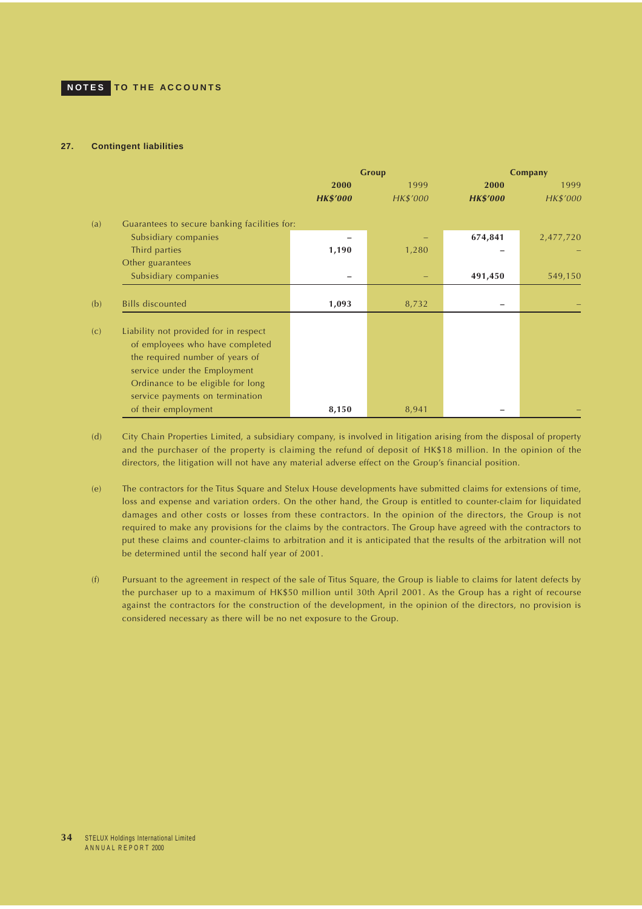### **27. Contingent liabilities**

|     |                                                                                                                                                                                                                     | Group           |          | Company         |           |  |
|-----|---------------------------------------------------------------------------------------------------------------------------------------------------------------------------------------------------------------------|-----------------|----------|-----------------|-----------|--|
|     |                                                                                                                                                                                                                     | 2000            | 1999     | 2000            | 1999      |  |
|     |                                                                                                                                                                                                                     | <b>HK\$'000</b> | HK\$'000 | <b>HK\$'000</b> | HK\$'000  |  |
| (a) | Guarantees to secure banking facilities for:                                                                                                                                                                        |                 |          |                 |           |  |
|     | Subsidiary companies                                                                                                                                                                                                |                 |          | 674,841         | 2,477,720 |  |
|     | Third parties                                                                                                                                                                                                       | 1,190           | 1,280    |                 |           |  |
|     | Other guarantees                                                                                                                                                                                                    |                 |          |                 |           |  |
|     | Subsidiary companies                                                                                                                                                                                                |                 |          | 491,450         | 549,150   |  |
| (b) | <b>Bills discounted</b>                                                                                                                                                                                             | 1,093           | 8,732    |                 |           |  |
| (c) | Liability not provided for in respect<br>of employees who have completed<br>the required number of years of<br>service under the Employment<br>Ordinance to be eligible for long<br>service payments on termination |                 |          |                 |           |  |
|     | of their employment                                                                                                                                                                                                 | 8,150           | 8,941    |                 |           |  |

(d) City Chain Properties Limited, a subsidiary company, is involved in litigation arising from the disposal of property and the purchaser of the property is claiming the refund of deposit of HK\$18 million. In the opinion of the directors, the litigation will not have any material adverse effect on the Group's financial position.

(e) The contractors for the Titus Square and Stelux House developments have submitted claims for extensions of time, loss and expense and variation orders. On the other hand, the Group is entitled to counter-claim for liquidated damages and other costs or losses from these contractors. In the opinion of the directors, the Group is not required to make any provisions for the claims by the contractors. The Group have agreed with the contractors to put these claims and counter-claims to arbitration and it is anticipated that the results of the arbitration will not be determined until the second half year of 2001.

(f) Pursuant to the agreement in respect of the sale of Titus Square, the Group is liable to claims for latent defects by the purchaser up to a maximum of HK\$50 million until 30th April 2001. As the Group has a right of recourse against the contractors for the construction of the development, in the opinion of the directors, no provision is considered necessary as there will be no net exposure to the Group.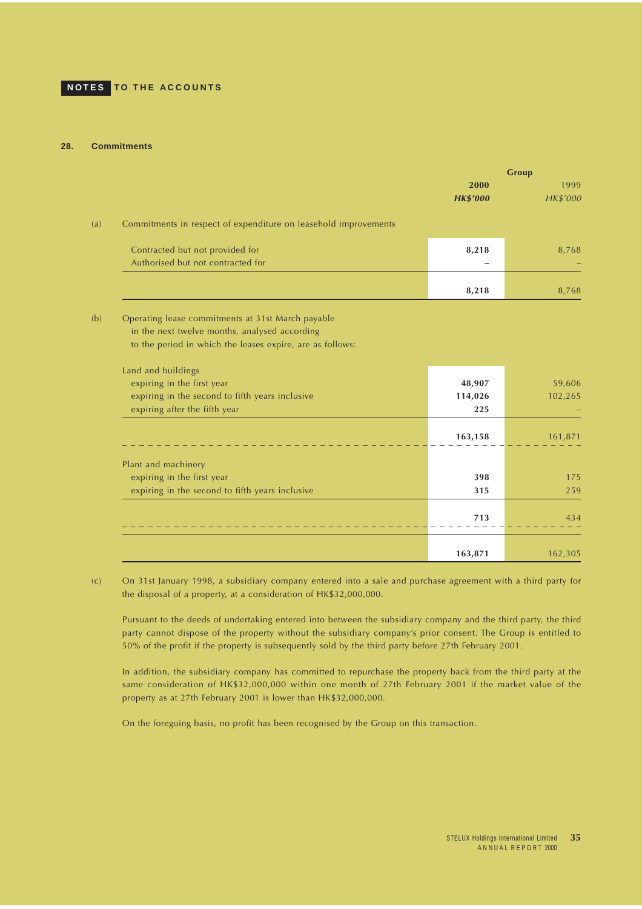### **28. Commitments**

|                                                                                                    | Group                   |                         |
|----------------------------------------------------------------------------------------------------|-------------------------|-------------------------|
|                                                                                                    | 2000<br><b>HK\$'000</b> | 1999<br><b>HK\$'000</b> |
| Commitments in respect of expenditure on leasehold improvements                                    |                         |                         |
| Contracted but not provided for<br>Authorised but not contracted for                               | 8,218                   | 8,768                   |
|                                                                                                    | 8,218                   | 8,768                   |
| Operating lease commitments at 31st March payable<br>in the next twelve months, analysed according |                         |                         |
| to the period in which the leases expire, are as follows:                                          |                         |                         |
| Land and buildings                                                                                 |                         |                         |
| expiring in the first year<br>expiring in the second to fifth years inclusive                      | 48,907<br>114,026       | 59,606<br>102,265       |
| expiring after the fifth year                                                                      | 225                     |                         |
|                                                                                                    | 163,158                 | 161,871                 |
| Plant and machinery                                                                                |                         |                         |
| expiring in the first year                                                                         | 398                     | 175                     |
| expiring in the second to fifth years inclusive                                                    | 315                     | 259                     |
|                                                                                                    | 713                     | 434                     |
|                                                                                                    | 163,871                 | 162,305                 |

(c) On 31st January 1998, a subsidiary company entered into a sale and purchase agreement with a third party for the disposal of a property, at a consideration of HK\$32,000,000.

Pursuant to the deeds of undertaking entered into between the subsidiary company and the third party, the third party cannot dispose of the property without the subsidiary company's prior consent. The Group is entitled to 50% of the profit if the property is subsequently sold by the third party before 27th February 2001.

In addition, the subsidiary company has committed to repurchase the property back from the third party at the same consideration of HK\$32,000,000 within one month of 27th February 2001 if the market value of the property as at 27th February 2001 is lower than HK\$32,000,000.

On the foregoing basis, no profit has been recognised by the Group on this transaction.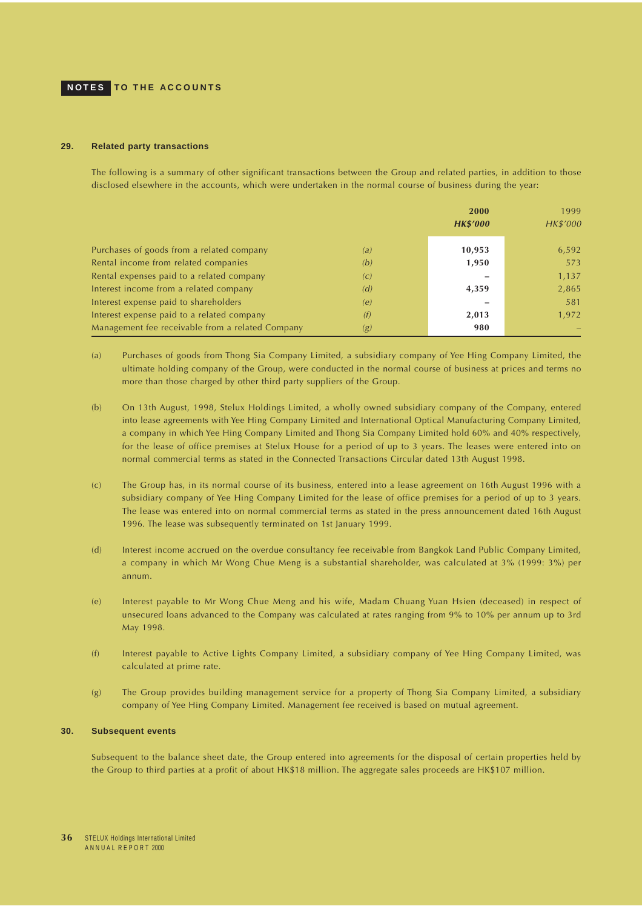#### **29. Related party transactions**

The following is a summary of other significant transactions between the Group and related parties, in addition to those disclosed elsewhere in the accounts, which were undertaken in the normal course of business during the year:

|                                                  |                   | 2000            | 1999     |
|--------------------------------------------------|-------------------|-----------------|----------|
|                                                  |                   | <b>HK\$'000</b> | HK\$'000 |
|                                                  |                   |                 |          |
| Purchases of goods from a related company        | (a)               | 10,953          | 6,592    |
| Rental income from related companies             | (b)               | 1,950           | 573      |
| Rental expenses paid to a related company        | $\left( c\right)$ |                 | 1,137    |
| Interest income from a related company           | (d)               | 4,359           | 2,865    |
| Interest expense paid to shareholders            | (e)               |                 | 581      |
| Interest expense paid to a related company       | (f)               | 2,013           | 1,972    |
| Management fee receivable from a related Company | (g)               | 980             |          |

- (a) Purchases of goods from Thong Sia Company Limited, a subsidiary company of Yee Hing Company Limited, the ultimate holding company of the Group, were conducted in the normal course of business at prices and terms no more than those charged by other third party suppliers of the Group.
- (b) On 13th August, 1998, Stelux Holdings Limited, a wholly owned subsidiary company of the Company, entered into lease agreements with Yee Hing Company Limited and International Optical Manufacturing Company Limited, a company in which Yee Hing Company Limited and Thong Sia Company Limited hold 60% and 40% respectively, for the lease of office premises at Stelux House for a period of up to 3 years. The leases were entered into on normal commercial terms as stated in the Connected Transactions Circular dated 13th August 1998.
- (c) The Group has, in its normal course of its business, entered into a lease agreement on 16th August 1996 with a subsidiary company of Yee Hing Company Limited for the lease of office premises for a period of up to 3 years. The lease was entered into on normal commercial terms as stated in the press announcement dated 16th August 1996. The lease was subsequently terminated on 1st January 1999.
- (d) Interest income accrued on the overdue consultancy fee receivable from Bangkok Land Public Company Limited, a company in which Mr Wong Chue Meng is a substantial shareholder, was calculated at 3% (1999: 3%) per annum.
- (e) Interest payable to Mr Wong Chue Meng and his wife, Madam Chuang Yuan Hsien (deceased) in respect of unsecured loans advanced to the Company was calculated at rates ranging from 9% to 10% per annum up to 3rd May 1998.
- (f) Interest payable to Active Lights Company Limited, a subsidiary company of Yee Hing Company Limited, was calculated at prime rate.
- (g) The Group provides building management service for a property of Thong Sia Company Limited, a subsidiary company of Yee Hing Company Limited. Management fee received is based on mutual agreement.

#### **30. Subsequent events**

Subsequent to the balance sheet date, the Group entered into agreements for the disposal of certain properties held by the Group to third parties at a profit of about HK\$18 million. The aggregate sales proceeds are HK\$107 million.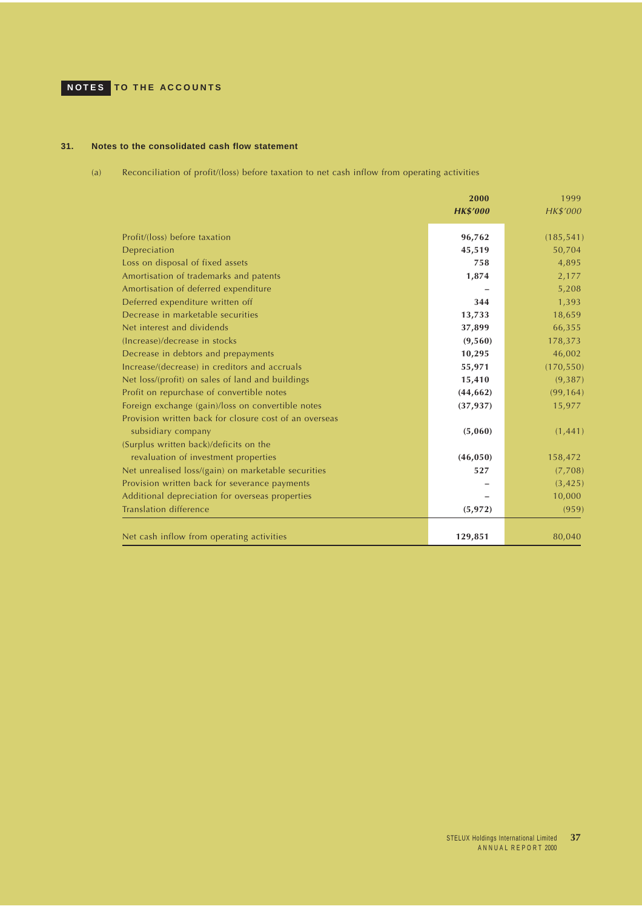# <span id="page-36-0"></span>**NOTES TO THE ACCOUNTS**

## **31. Notes to the consolidated cash flow statement**

(a) Reconciliation of profit/(loss) before taxation to net cash inflow from operating activities

|                                                        | 2000            | 1999       |
|--------------------------------------------------------|-----------------|------------|
|                                                        | <b>HK\$'000</b> | HK\$'000   |
| Profit/(loss) before taxation                          | 96,762          | (185, 541) |
| Depreciation                                           | 45,519          | 50,704     |
| Loss on disposal of fixed assets                       | 758             | 4,895      |
| Amortisation of trademarks and patents                 | 1,874           | 2,177      |
| Amortisation of deferred expenditure                   |                 | 5,208      |
| Deferred expenditure written off                       | 344             | 1,393      |
| Decrease in marketable securities                      | 13,733          | 18,659     |
| Net interest and dividends                             | 37,899          | 66,355     |
| (Increase)/decrease in stocks                          | (9,560)         | 178,373    |
| Decrease in debtors and prepayments                    | 10,295          | 46,002     |
| Increase/(decrease) in creditors and accruals          | 55,971          | (170, 550) |
| Net loss/(profit) on sales of land and buildings       | 15,410          | (9,387)    |
| Profit on repurchase of convertible notes              | (44, 662)       | (99, 164)  |
| Foreign exchange (gain)/loss on convertible notes      | (37, 937)       | 15,977     |
| Provision written back for closure cost of an overseas |                 |            |
| subsidiary company                                     | (5,060)         | (1, 441)   |
| (Surplus written back)/deficits on the                 |                 |            |
| revaluation of investment properties                   | (46, 050)       | 158,472    |
| Net unrealised loss/(gain) on marketable securities    | 527             | (7,708)    |
| Provision written back for severance payments          |                 | (3, 425)   |
| Additional depreciation for overseas properties        |                 | 10,000     |
| <b>Translation difference</b>                          | (5, 972)        | (959)      |
|                                                        |                 |            |
| Net cash inflow from operating activities              | 129,851         | 80,040     |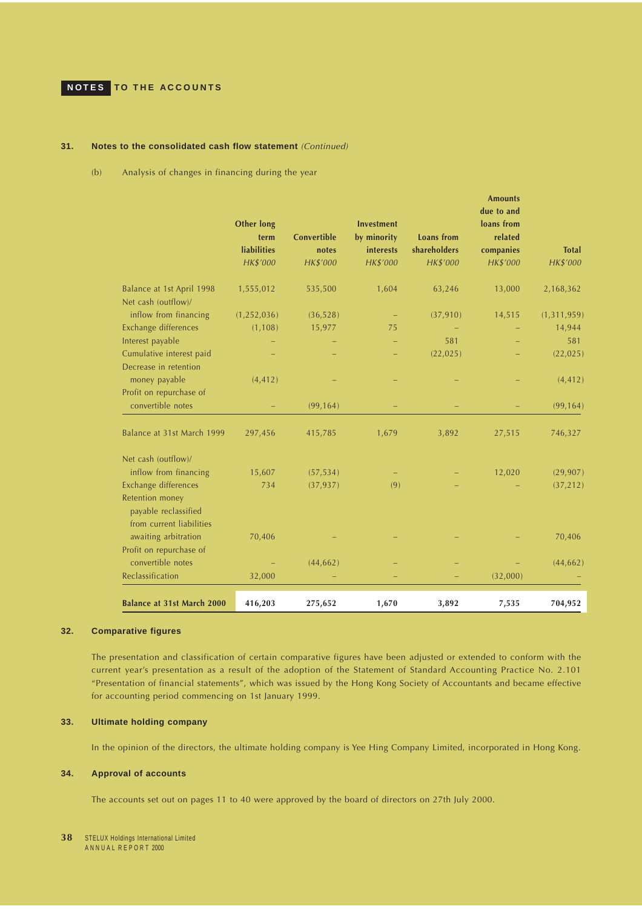### <span id="page-37-0"></span>**31. Notes to the consolidated cash flow statement** (Continued)

(b) Analysis of changes in financing during the year

|                                                                                             | <b>Other long</b><br>term<br><b>liabilities</b><br>HK\$'000 | Convertible<br>notes<br>HK\$'000 | <b>Investment</b><br>by minority<br>interests<br>HK\$'000 | <b>Loans</b> from<br>shareholders<br>HK\$'000 | Amounts<br>due to and<br>loans from<br>related<br>companies<br>HK\$'000 | <b>Total</b><br>HK\$'000 |
|---------------------------------------------------------------------------------------------|-------------------------------------------------------------|----------------------------------|-----------------------------------------------------------|-----------------------------------------------|-------------------------------------------------------------------------|--------------------------|
| Balance at 1st April 1998<br>Net cash (outflow)/                                            | 1,555,012                                                   | 535,500                          | 1,604                                                     | 63,246                                        | 13,000                                                                  | 2,168,362                |
| inflow from financing                                                                       | (1, 252, 036)                                               | (36, 528)                        |                                                           | (37, 910)                                     | 14,515                                                                  | (1, 311, 959)            |
| Exchange differences                                                                        | (1, 108)                                                    | 15,977                           | 75                                                        |                                               |                                                                         | 14,944                   |
| Interest payable                                                                            |                                                             |                                  |                                                           | 581                                           |                                                                         | 581                      |
| Cumulative interest paid<br>Decrease in retention                                           |                                                             |                                  |                                                           | (22, 025)                                     |                                                                         | (22, 025)                |
| money payable                                                                               | (4, 412)                                                    |                                  |                                                           |                                               |                                                                         | (4, 412)                 |
| Profit on repurchase of<br>convertible notes                                                |                                                             | (99, 164)                        |                                                           |                                               |                                                                         | (99, 164)                |
| Balance at 31st March 1999                                                                  | 297,456                                                     | 415,785                          | 1,679                                                     | 3,892                                         | 27,515                                                                  | 746,327                  |
| Net cash (outflow)/                                                                         |                                                             |                                  |                                                           |                                               |                                                                         |                          |
| inflow from financing                                                                       | 15,607                                                      | (57, 534)                        |                                                           |                                               | 12,020                                                                  | (29, 907)                |
| Exchange differences<br>Retention money<br>payable reclassified<br>from current liabilities | 734                                                         | (37, 937)                        | (9)                                                       |                                               |                                                                         | (37, 212)                |
| awaiting arbitration                                                                        | 70,406                                                      |                                  |                                                           |                                               |                                                                         | 70,406                   |
| Profit on repurchase of<br>convertible notes                                                |                                                             | (44, 662)                        |                                                           |                                               |                                                                         | (44, 662)                |
| Reclassification                                                                            | 32,000                                                      |                                  |                                                           |                                               | (32,000)                                                                |                          |
| <b>Balance at 31st March 2000</b>                                                           | 416,203                                                     | 275,652                          | 1,670                                                     | 3,892                                         | 7,535                                                                   | 704,952                  |

#### **32. Comparative figures**

The presentation and classification of certain comparative figures have been adjusted or extended to conform with the current year's presentation as a result of the adoption of the Statement of Standard Accounting Practice No. 2.101 "Presentation of financial statements", which was issued by the Hong Kong Society of Accountants and became effective for accounting period commencing on 1st January 1999.

## **33. Ultimate holding company**

In the opinion of the directors, the ultimate holding company is Yee Hing Company Limited, incorporated in Hong Kong.

### **34. Approval of accounts**

The accounts set out on pages 11 to 40 were approved by the board of directors on 27th July 2000.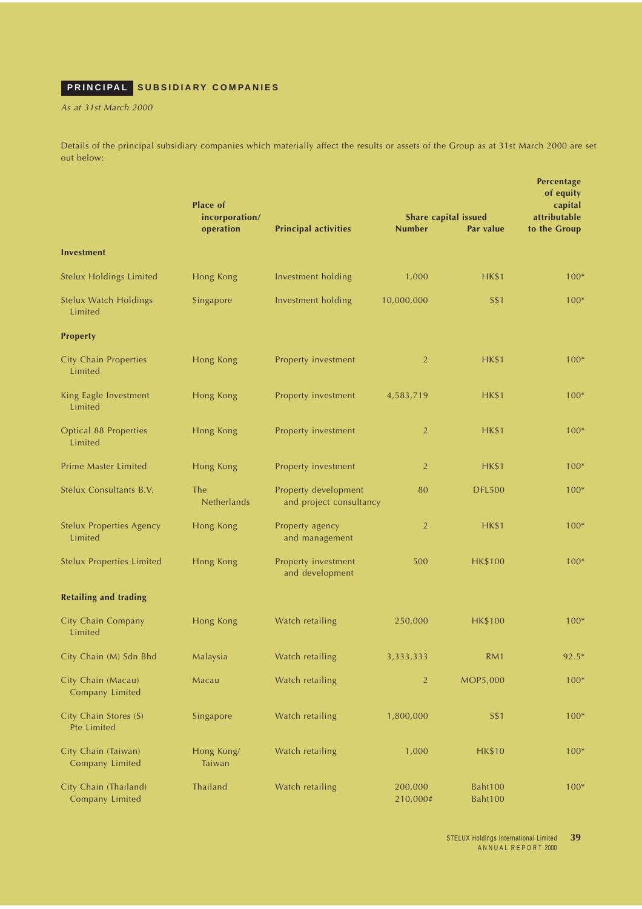# <span id="page-38-0"></span>**PRINCIPAL SUBSIDIARY COMPANIES**

As at 31st March 2000

Details of the principal subsidiary companies which materially affect the results or assets of the Group as at 31st March 2000 are set out below:

|                                            | <b>Place of</b><br>incorporation/<br>operation | <b>Principal activities</b>                     | <b>Number</b>       | Share capital issued<br>Par value | <b>Percentage</b><br>of equity<br>capital<br>attributable<br>to the Group |
|--------------------------------------------|------------------------------------------------|-------------------------------------------------|---------------------|-----------------------------------|---------------------------------------------------------------------------|
| <b>Investment</b>                          |                                                |                                                 |                     |                                   |                                                                           |
| <b>Stelux Holdings Limited</b>             | Hong Kong                                      | Investment holding                              | 1,000               | <b>HK\$1</b>                      | $100*$                                                                    |
| <b>Stelux Watch Holdings</b><br>Limited    | Singapore                                      | Investment holding                              | 10,000,000          | S\$1                              | $100*$                                                                    |
| <b>Property</b>                            |                                                |                                                 |                     |                                   |                                                                           |
| <b>City Chain Properties</b><br>Limited    | Hong Kong                                      | Property investment                             | $\overline{2}$      | <b>HK\$1</b>                      | $100*$                                                                    |
| King Eagle Investment<br>Limited           | Hong Kong                                      | Property investment                             | 4,583,719           | <b>HK\$1</b>                      | $100*$                                                                    |
| Optical 88 Properties<br>Limited           | Hong Kong                                      | Property investment                             | $\overline{2}$      | <b>HK\$1</b>                      | $100*$                                                                    |
| <b>Prime Master Limited</b>                | Hong Kong                                      | Property investment                             | $\overline{2}$      | <b>HK\$1</b>                      | $100*$                                                                    |
| Stelux Consultants B.V.                    | <b>The</b><br>Netherlands                      | Property development<br>and project consultancy | 80                  | <b>DFL500</b>                     | $100*$                                                                    |
| <b>Stelux Properties Agency</b><br>Limited | Hong Kong                                      | Property agency<br>and management               | $\overline{2}$      | <b>HK\$1</b>                      | $100*$                                                                    |
| <b>Stelux Properties Limited</b>           | Hong Kong                                      | Property investment<br>and development          | 500                 | <b>HK\$100</b>                    | $100*$                                                                    |
| <b>Retailing and trading</b>               |                                                |                                                 |                     |                                   |                                                                           |
| City Chain Company<br>Limited              | Hong Kong                                      | Watch retailing                                 | 250,000             | <b>HK\$100</b>                    | $100*$                                                                    |
| City Chain (M) Sdn Bhd                     | Malaysia                                       | Watch retailing                                 | 3,333,333           | RM1                               | $92.5*$                                                                   |
| City Chain (Macau)<br>Company Limited      | Macau                                          | Watch retailing                                 | $\overline{2}$      | MOP5,000                          | $100*$                                                                    |
| City Chain Stores (S)<br>Pte Limited       | Singapore                                      | Watch retailing                                 | 1,800,000           | <b>S\$1</b>                       | $100*$                                                                    |
| City Chain (Taiwan)<br>Company Limited     | Hong Kong/<br>Taiwan                           | Watch retailing                                 | 1,000               | <b>HK\$10</b>                     | $100*$                                                                    |
| City Chain (Thailand)<br>Company Limited   | Thailand                                       | Watch retailing                                 | 200,000<br>210,000# | Baht100<br><b>Baht100</b>         | $100*$                                                                    |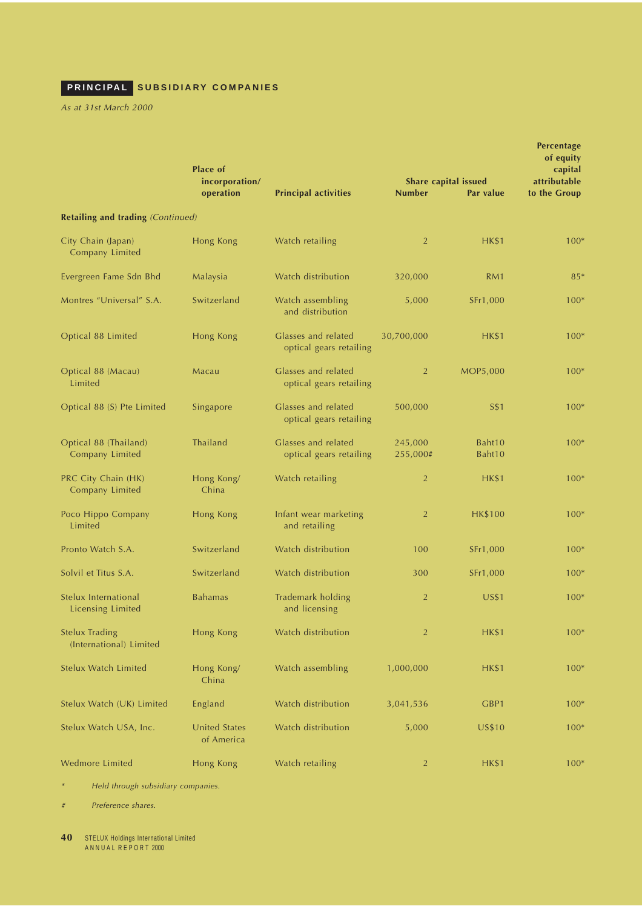# **PRINCIPAL SUBSIDIARY COMPANIES**

As at 31st March 2000

|                                                  | <b>Place of</b><br>incorporation/  |                                                | Share capital issued | Percentage<br>of equity<br>capital<br>attributable |              |
|--------------------------------------------------|------------------------------------|------------------------------------------------|----------------------|----------------------------------------------------|--------------|
|                                                  | operation                          | <b>Principal activities</b>                    | <b>Number</b>        | Par value                                          | to the Group |
| Retailing and trading (Continued)                |                                    |                                                |                      |                                                    |              |
| City Chain (Japan)<br>Company Limited            | Hong Kong                          | Watch retailing                                | 2                    | <b>HK\$1</b>                                       | $100*$       |
| Evergreen Fame Sdn Bhd                           | Malaysia                           | Watch distribution                             | 320,000              | RM <sub>1</sub>                                    | $85*$        |
| Montres "Universal" S.A.                         | Switzerland                        | Watch assembling<br>and distribution           | 5,000                | SFr1,000                                           | $100*$       |
| Optical 88 Limited                               | Hong Kong                          | Glasses and related<br>optical gears retailing | 30,700,000           | <b>HK\$1</b>                                       | $100*$       |
| Optical 88 (Macau)<br>Limited                    | Macau                              | Glasses and related<br>optical gears retailing | $\overline{2}$       | <b>MOP5,000</b>                                    | $100*$       |
| Optical 88 (S) Pte Limited                       | Singapore                          | Glasses and related<br>optical gears retailing | 500,000              | S\$1                                               | $100*$       |
| Optical 88 (Thailand)<br>Company Limited         | Thailand                           | Glasses and related<br>optical gears retailing | 245,000<br>255,000#  | Baht10<br>Baht10                                   | $100*$       |
| PRC City Chain (HK)<br>Company Limited           | Hong Kong/<br>China                | Watch retailing                                | 2                    | <b>HK\$1</b>                                       | $100*$       |
| Poco Hippo Company<br>Limited                    | Hong Kong                          | Infant wear marketing<br>and retailing         | $\overline{2}$       | <b>HK\$100</b>                                     | $100*$       |
| Pronto Watch S.A.                                | Switzerland                        | Watch distribution                             | 100                  | SFr1,000                                           | $100*$       |
| Solvil et Titus S.A.                             | Switzerland                        | Watch distribution                             | 300                  | SFr1,000                                           | $100*$       |
| Stelux International<br>Licensing Limited        | <b>Bahamas</b>                     | Trademark holding<br>and licensing             | 2                    | <b>US\$1</b>                                       | $100*$       |
| <b>Stelux Trading</b><br>(International) Limited | Hong Kong                          | Watch distribution                             | $\overline{2}$       | <b>HK\$1</b>                                       | $100*$       |
| Stelux Watch Limited                             | Hong Kong/<br>China                | Watch assembling                               | 1,000,000            | <b>HK\$1</b>                                       | $100*$       |
| Stelux Watch (UK) Limited                        | England                            | Watch distribution                             | 3,041,536            | GBP1                                               | $100*$       |
| Stelux Watch USA, Inc.                           | <b>United States</b><br>of America | Watch distribution                             | 5,000                | <b>US\$10</b>                                      | $100*$       |
| Wedmore Limited                                  | Hong Kong                          | Watch retailing                                | $\overline{2}$       | <b>HK\$1</b>                                       | $100*$       |

\*Held through subsidiary companies.

# Preference shares.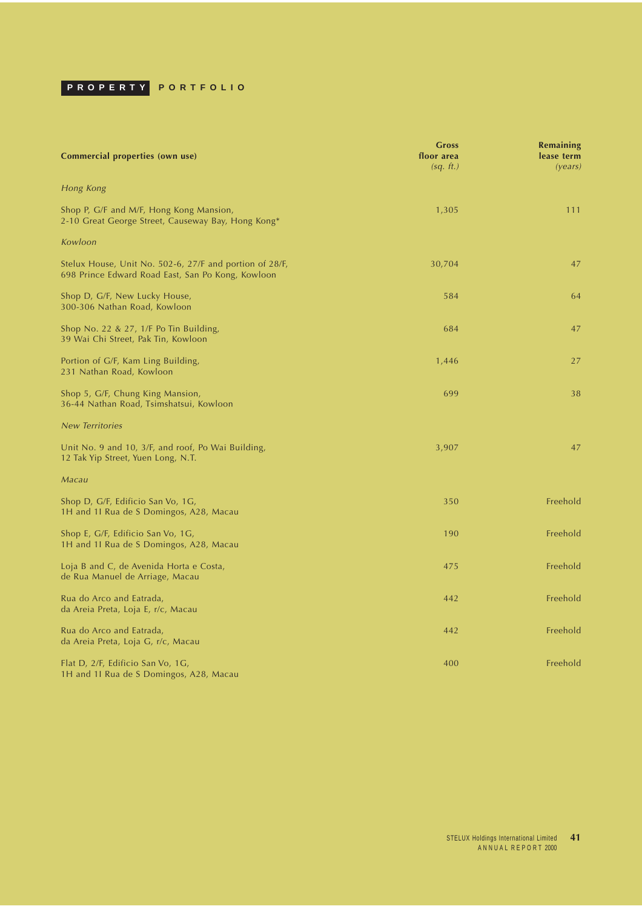<span id="page-40-0"></span>

| Commercial properties (own use)                                                                              | <b>Gross</b><br>floor area<br>(sq. ft.) | <b>Remaining</b><br>lease term<br>(years) |
|--------------------------------------------------------------------------------------------------------------|-----------------------------------------|-------------------------------------------|
| Hong Kong                                                                                                    |                                         |                                           |
| Shop P, G/F and M/F, Hong Kong Mansion,<br>2-10 Great George Street, Causeway Bay, Hong Kong*                | 1,305                                   | 111                                       |
| Kowloon                                                                                                      |                                         |                                           |
| Stelux House, Unit No. 502-6, 27/F and portion of 28/F,<br>698 Prince Edward Road East, San Po Kong, Kowloon | 30,704                                  | 47                                        |
| Shop D, G/F, New Lucky House,<br>300-306 Nathan Road, Kowloon                                                | 584                                     | 64                                        |
| Shop No. 22 & 27, $1/F$ Po Tin Building,<br>39 Wai Chi Street, Pak Tin, Kowloon                              | 684                                     | 47                                        |
| Portion of G/F, Kam Ling Building,<br>231 Nathan Road, Kowloon                                               | 1,446                                   | 27                                        |
| Shop 5, G/F, Chung King Mansion,<br>36-44 Nathan Road, Tsimshatsui, Kowloon                                  | 699                                     | 38                                        |
| <b>New Territories</b>                                                                                       |                                         |                                           |
| Unit No. 9 and 10, 3/F, and roof, Po Wai Building,<br>12 Tak Yip Street, Yuen Long, N.T.                     | 3,907                                   | 47                                        |
| Macau                                                                                                        |                                         |                                           |
| Shop D, G/F, Edificio San Vo, 1G,<br>1H and 1I Rua de S Domingos, A28, Macau                                 | 350                                     | Freehold                                  |
| Shop E, G/F, Edificio San Vo, 1G,<br>1H and 1I Rua de S Domingos, A28, Macau                                 | 190                                     | Freehold                                  |
| Loja B and C, de Avenida Horta e Costa,<br>de Rua Manuel de Arriage, Macau                                   | 475                                     | Freehold                                  |
| Rua do Arco and Eatrada,<br>da Areia Preta, Loja E, r/c, Macau                                               | 442                                     | Freehold                                  |
| Rua do Arco and Eatrada,<br>da Areia Preta, Loja G, r/c, Macau                                               | 442                                     | Freehold                                  |
| Flat D, 2/F, Edificio San Vo, 1G,<br>1H and 1I Rua de S Domingos, A28, Macau                                 | 400                                     | Freehold                                  |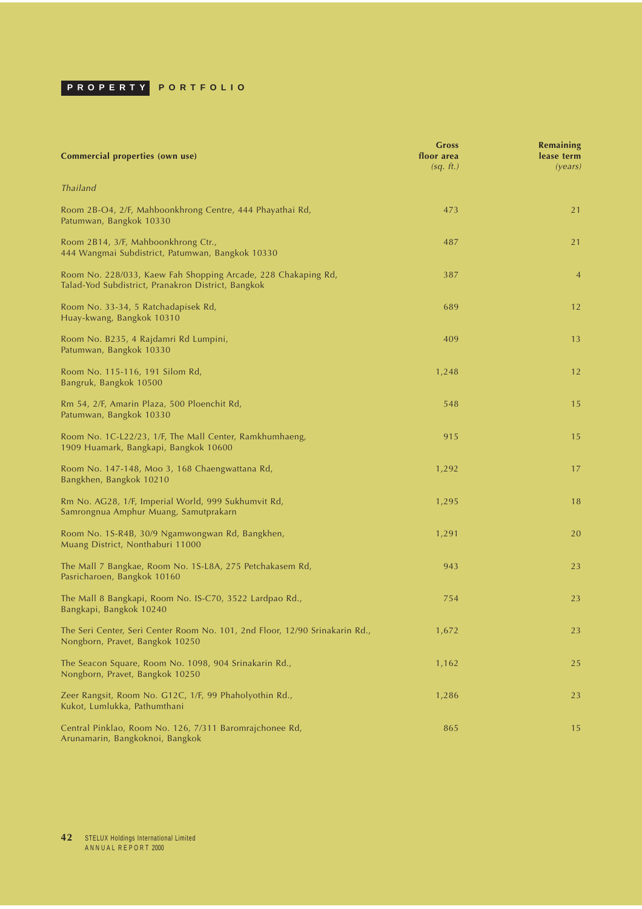| Commercial properties (own use)                                                                                     | <b>Gross</b><br>floor area<br>(sq. ft.) | <b>Remaining</b><br>lease term<br>(years) |
|---------------------------------------------------------------------------------------------------------------------|-----------------------------------------|-------------------------------------------|
| <b>Thailand</b>                                                                                                     |                                         |                                           |
| Room 2B-O4, 2/F, Mahboonkhrong Centre, 444 Phayathai Rd,<br>Patumwan, Bangkok 10330                                 | 473                                     | 21                                        |
| Room 2B14, 3/F, Mahboonkhrong Ctr.,<br>444 Wangmai Subdistrict, Patumwan, Bangkok 10330                             | 487                                     | 21                                        |
| Room No. 228/033, Kaew Fah Shopping Arcade, 228 Chakaping Rd,<br>Talad-Yod Subdistrict, Pranakron District, Bangkok | 387                                     | $\overline{4}$                            |
| Room No. 33-34, 5 Ratchadapisek Rd,<br>Huay-kwang, Bangkok 10310                                                    | 689                                     | 12                                        |
| Room No. B235, 4 Rajdamri Rd Lumpini,<br>Patumwan, Bangkok 10330                                                    | 409                                     | 13                                        |
| Room No. 115-116, 191 Silom Rd,<br>Bangruk, Bangkok 10500                                                           | 1,248                                   | 12                                        |
| Rm 54, 2/F, Amarin Plaza, 500 Ploenchit Rd,<br>Patumwan, Bangkok 10330                                              | 548                                     | 15                                        |
| Room No. 1C-L22/23, 1/F, The Mall Center, Ramkhumhaeng,<br>1909 Huamark, Bangkapi, Bangkok 10600                    | 915                                     | 15                                        |
| Room No. 147-148, Moo 3, 168 Chaengwattana Rd,<br>Bangkhen, Bangkok 10210                                           | 1,292                                   | 17                                        |
| Rm No. AG28, 1/F, Imperial World, 999 Sukhumvit Rd,<br>Samrongnua Amphur Muang, Samutprakarn                        | 1,295                                   | 18                                        |
| Room No. 1S-R4B, 30/9 Ngamwongwan Rd, Bangkhen,<br>Muang District, Nonthaburi 11000                                 | 1,291                                   | 20                                        |
| The Mall 7 Bangkae, Room No. 1S-L8A, 275 Petchakasem Rd,<br>Pasricharoen, Bangkok 10160                             | 943                                     | 23                                        |
| The Mall 8 Bangkapi, Room No. IS-C70, 3522 Lardpao Rd.,<br>Bangkapi, Bangkok 10240                                  | 754                                     | 23                                        |
| The Seri Center, Seri Center Room No. 101, 2nd Floor, 12/90 Srinakarin Rd.,<br>Nongborn, Pravet, Bangkok 10250      | 1,672                                   | 23                                        |
| The Seacon Square, Room No. 1098, 904 Srinakarin Rd.,<br>Nongborn, Pravet, Bangkok 10250                            | 1,162                                   | 25                                        |
| Zeer Rangsit, Room No. G12C, 1/F, 99 Phaholyothin Rd.,<br>Kukot, Lumlukka, Pathumthani                              | 1,286                                   | 23                                        |
| Central Pinklao, Room No. 126, 7/311 Baromrajchonee Rd,<br>Arunamarin, Bangkoknoi, Bangkok                          | 865                                     | 15                                        |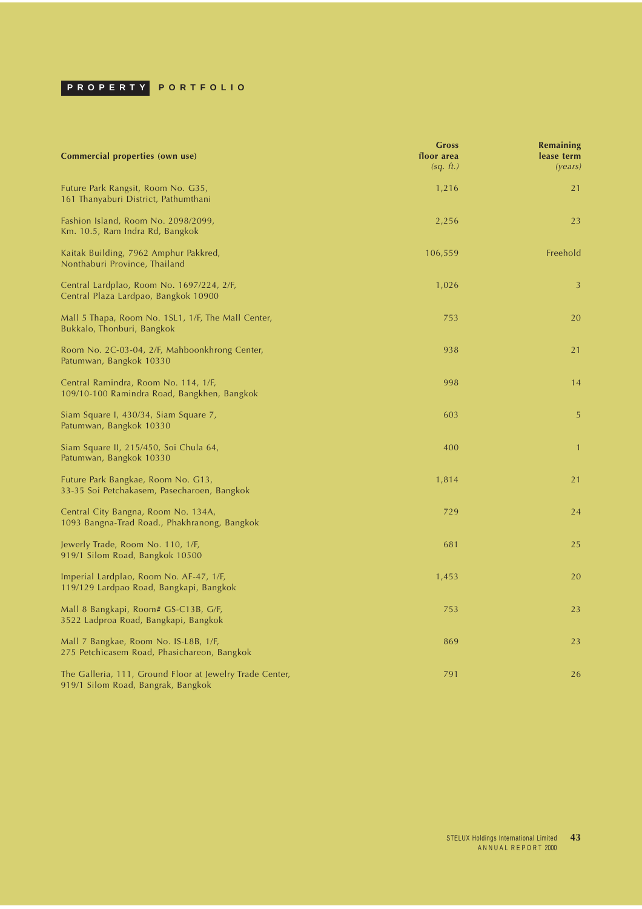| Commercial properties (own use)                                                                | <b>Gross</b><br>floor area<br>(sq. ft.) | <b>Remaining</b><br>lease term<br>( <i>years</i> ) |
|------------------------------------------------------------------------------------------------|-----------------------------------------|----------------------------------------------------|
| Future Park Rangsit, Room No. G35,<br>161 Thanyaburi District, Pathumthani                     | 1,216                                   | 21                                                 |
| Fashion Island, Room No. 2098/2099,<br>Km. 10.5, Ram Indra Rd, Bangkok                         | 2,256                                   | 23                                                 |
| Kaitak Building, 7962 Amphur Pakkred,<br>Nonthaburi Province, Thailand                         | 106,559                                 | Freehold                                           |
| Central Lardplao, Room No. 1697/224, 2/F,<br>Central Plaza Lardpao, Bangkok 10900              | 1,026                                   | 3                                                  |
| Mall 5 Thapa, Room No. 1SL1, 1/F, The Mall Center,<br>Bukkalo, Thonburi, Bangkok               | 753                                     | 20                                                 |
| Room No. 2C-03-04, 2/F, Mahboonkhrong Center,<br>Patumwan, Bangkok 10330                       | 938                                     | 21                                                 |
| Central Ramindra, Room No. 114, 1/F,<br>109/10-100 Ramindra Road, Bangkhen, Bangkok            | 998                                     | 14                                                 |
| Siam Square I, 430/34, Siam Square 7,<br>Patumwan, Bangkok 10330                               | 603                                     | 5                                                  |
| Siam Square II, 215/450, Soi Chula 64,<br>Patumwan, Bangkok 10330                              | 400                                     | $\mathbf{1}$                                       |
| Future Park Bangkae, Room No. G13,<br>33-35 Soi Petchakasem, Pasecharoen, Bangkok              | 1,814                                   | 21                                                 |
| Central City Bangna, Room No. 134A,<br>1093 Bangna-Trad Road., Phakhranong, Bangkok            | 729                                     | 24                                                 |
| Jewerly Trade, Room No. 110, 1/F,<br>919/1 Silom Road, Bangkok 10500                           | 681                                     | 25                                                 |
| Imperial Lardplao, Room No. AF-47, 1/F,<br>119/129 Lardpao Road, Bangkapi, Bangkok             | 1,453                                   | 20                                                 |
| Mall 8 Bangkapi, Room# GS-C13B, G/F,<br>3522 Ladproa Road, Bangkapi, Bangkok                   | 753                                     | 23                                                 |
| Mall 7 Bangkae, Room No. IS-L8B, 1/F,<br>275 Petchicasem Road, Phasichareon, Bangkok           | 869                                     | 23                                                 |
| The Galleria, 111, Ground Floor at Jewelry Trade Center,<br>919/1 Silom Road, Bangrak, Bangkok | 791                                     | 26                                                 |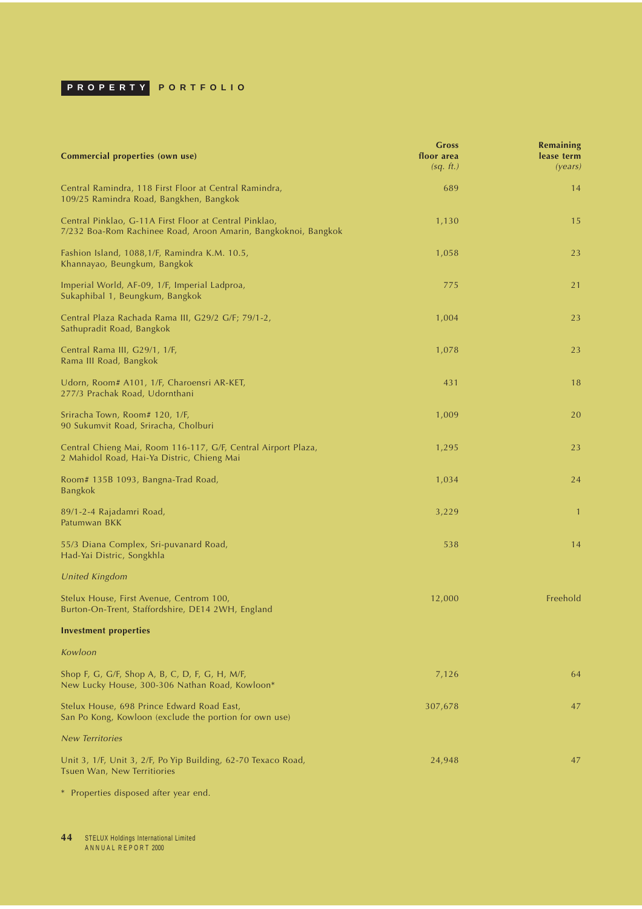| Commercial properties (own use)                                                                                          | <b>Gross</b><br>floor area<br>(sq. ft.) | Remaining<br>lease term<br>(years) |
|--------------------------------------------------------------------------------------------------------------------------|-----------------------------------------|------------------------------------|
| Central Ramindra, 118 First Floor at Central Ramindra,<br>109/25 Ramindra Road, Bangkhen, Bangkok                        | 689                                     | 14                                 |
| Central Pinklao, G-11A First Floor at Central Pinklao,<br>7/232 Boa-Rom Rachinee Road, Aroon Amarin, Bangkoknoi, Bangkok | 1,130                                   | 15                                 |
| Fashion Island, 1088,1/F, Ramindra K.M. 10.5,<br>Khannayao, Beungkum, Bangkok                                            | 1,058                                   | 23                                 |
| Imperial World, AF-09, 1/F, Imperial Ladproa,<br>Sukaphibal 1, Beungkum, Bangkok                                         | 775                                     | 21                                 |
| Central Plaza Rachada Rama III, G29/2 G/F; 79/1-2,<br>Sathupradit Road, Bangkok                                          | 1,004                                   | 23                                 |
| Central Rama III, G29/1, 1/F,<br>Rama III Road, Bangkok                                                                  | 1,078                                   | 23                                 |
| Udorn, Room# A101, 1/F, Charoensri AR-KET,<br>277/3 Prachak Road, Udornthani                                             | 431                                     | 18                                 |
| Sriracha Town, Room# 120, 1/F,<br>90 Sukumvit Road, Sriracha, Cholburi                                                   | 1,009                                   | 20                                 |
| Central Chieng Mai, Room 116-117, G/F, Central Airport Plaza,<br>2 Mahidol Road, Hai-Ya Distric, Chieng Mai              | 1,295                                   | 23                                 |
| Room# 135B 1093, Bangna-Trad Road,<br><b>Bangkok</b>                                                                     | 1,034                                   | 24                                 |
| 89/1-2-4 Rajadamri Road,<br>Patumwan BKK                                                                                 | 3,229                                   | $\overline{1}$                     |
| 55/3 Diana Complex, Sri-puvanard Road,<br>Had-Yai Distric, Songkhla                                                      | 538                                     | 14                                 |
| <b>United Kingdom</b>                                                                                                    |                                         |                                    |
| Stelux House, First Avenue, Centrom 100,<br>Burton-On-Trent, Staffordshire, DE14 2WH, England                            | 12,000                                  | Freehold                           |
| <b>Investment properties</b>                                                                                             |                                         |                                    |
| Kowloon                                                                                                                  |                                         |                                    |
| Shop F, G, G/F, Shop A, B, C, D, F, G, H, M/F,<br>New Lucky House, 300-306 Nathan Road, Kowloon*                         | 7,126                                   | 64                                 |
| Stelux House, 698 Prince Edward Road East,<br>San Po Kong, Kowloon (exclude the portion for own use)                     | 307,678                                 | 47                                 |
| <b>New Territories</b>                                                                                                   |                                         |                                    |
| Unit 3, 1/F, Unit 3, 2/F, Po Yip Building, 62-70 Texaco Road,<br>Tsuen Wan, New Territiories                             | 24,948                                  | 47                                 |

\* Properties disposed after year end.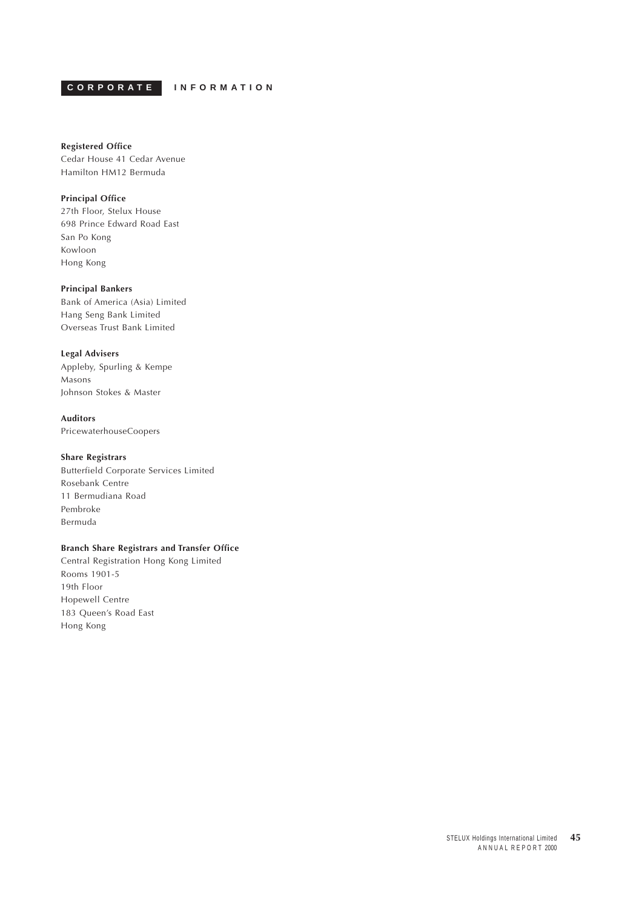<span id="page-44-0"></span>**CORPORATE INFORMATION**

#### **Registered Office**

Cedar House 41 Cedar Avenue Hamilton HM12 Bermuda

## **Principal Office**

27th Floor, Stelux House 698 Prince Edward Road East San Po Kong Kowloon Hong Kong

## **Principal Bankers**

Bank of America (Asia) Limited Hang Seng Bank Limited Overseas Trust Bank Limited

## **Legal Advisers**

Appleby, Spurling & Kempe Masons Johnson Stokes & Master

## **Auditors**

PricewaterhouseCoopers

## **Share Registrars**

Butterfield Corporate Services Limited Rosebank Centre 11 Bermudiana Road Pembroke Bermuda

## **Branch Share Registrars and Transfer Office**

Central Registration Hong Kong Limited Rooms 1901-5 19th Floor Hopewell Centre 183 Queen's Road East Hong Kong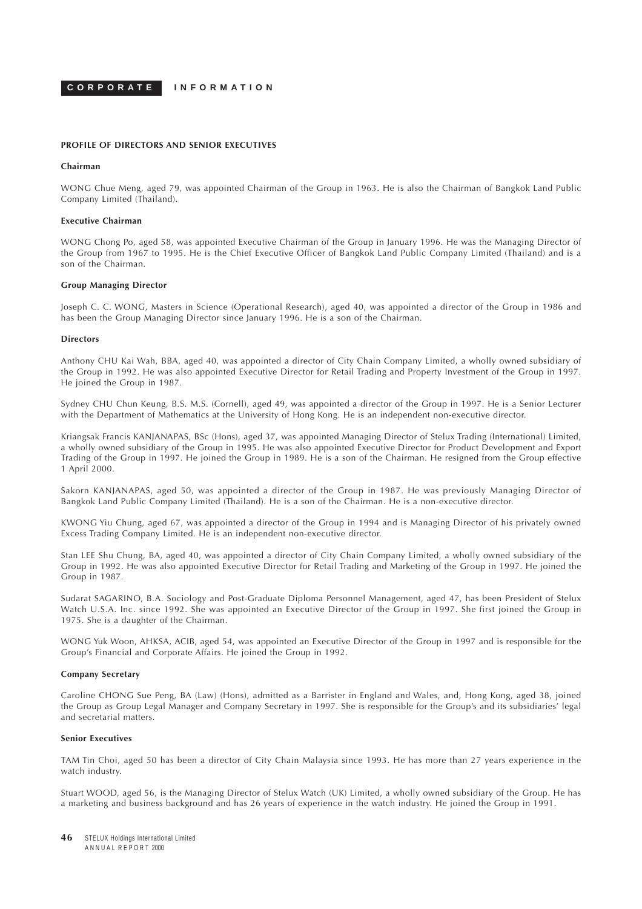**CORPORATE INFORMATION**

#### **PROFILE OF DIRECTORS AND SENIOR EXECUTIVES**

#### **Chairman**

WONG Chue Meng, aged 79, was appointed Chairman of the Group in 1963. He is also the Chairman of Bangkok Land Public Company Limited (Thailand).

#### **Executive Chairman**

WONG Chong Po, aged 58, was appointed Executive Chairman of the Group in January 1996. He was the Managing Director of the Group from 1967 to 1995. He is the Chief Executive Officer of Bangkok Land Public Company Limited (Thailand) and is a son of the Chairman.

#### **Group Managing Director**

Joseph C. C. WONG, Masters in Science (Operational Research), aged 40, was appointed a director of the Group in 1986 and has been the Group Managing Director since January 1996. He is a son of the Chairman.

#### **Directors**

Anthony CHU Kai Wah, BBA, aged 40, was appointed a director of City Chain Company Limited, a wholly owned subsidiary of the Group in 1992. He was also appointed Executive Director for Retail Trading and Property Investment of the Group in 1997. He joined the Group in 1987.

Sydney CHU Chun Keung, B.S. M.S. (Cornell), aged 49, was appointed a director of the Group in 1997. He is a Senior Lecturer with the Department of Mathematics at the University of Hong Kong. He is an independent non-executive director.

Kriangsak Francis KANJANAPAS, BSc (Hons), aged 37, was appointed Managing Director of Stelux Trading (International) Limited, a wholly owned subsidiary of the Group in 1995. He was also appointed Executive Director for Product Development and Export Trading of the Group in 1997. He joined the Group in 1989. He is a son of the Chairman. He resigned from the Group effective 1 April 2000.

Sakorn KANJANAPAS, aged 50, was appointed a director of the Group in 1987. He was previously Managing Director of Bangkok Land Public Company Limited (Thailand). He is a son of the Chairman. He is a non-executive director.

KWONG Yiu Chung, aged 67, was appointed a director of the Group in 1994 and is Managing Director of his privately owned Excess Trading Company Limited. He is an independent non-executive director.

Stan LEE Shu Chung, BA, aged 40, was appointed a director of City Chain Company Limited, a wholly owned subsidiary of the Group in 1992. He was also appointed Executive Director for Retail Trading and Marketing of the Group in 1997. He joined the Group in 1987.

Sudarat SAGARINO, B.A. Sociology and Post-Graduate Diploma Personnel Management, aged 47, has been President of Stelux Watch U.S.A. Inc. since 1992. She was appointed an Executive Director of the Group in 1997. She first joined the Group in 1975. She is a daughter of the Chairman.

WONG Yuk Woon, AHKSA, ACIB, aged 54, was appointed an Executive Director of the Group in 1997 and is responsible for the Group's Financial and Corporate Affairs. He joined the Group in 1992.

#### **Company Secretary**

Caroline CHONG Sue Peng, BA (Law) (Hons), admitted as a Barrister in England and Wales, and, Hong Kong, aged 38, joined the Group as Group Legal Manager and Company Secretary in 1997. She is responsible for the Group's and its subsidiaries' legal and secretarial matters.

#### **Senior Executives**

TAM Tin Choi, aged 50 has been a director of City Chain Malaysia since 1993. He has more than 27 years experience in the watch industry.

Stuart WOOD, aged 56, is the Managing Director of Stelux Watch (UK) Limited, a wholly owned subsidiary of the Group. He has a marketing and business background and has 26 years of experience in the watch industry. He joined the Group in 1991.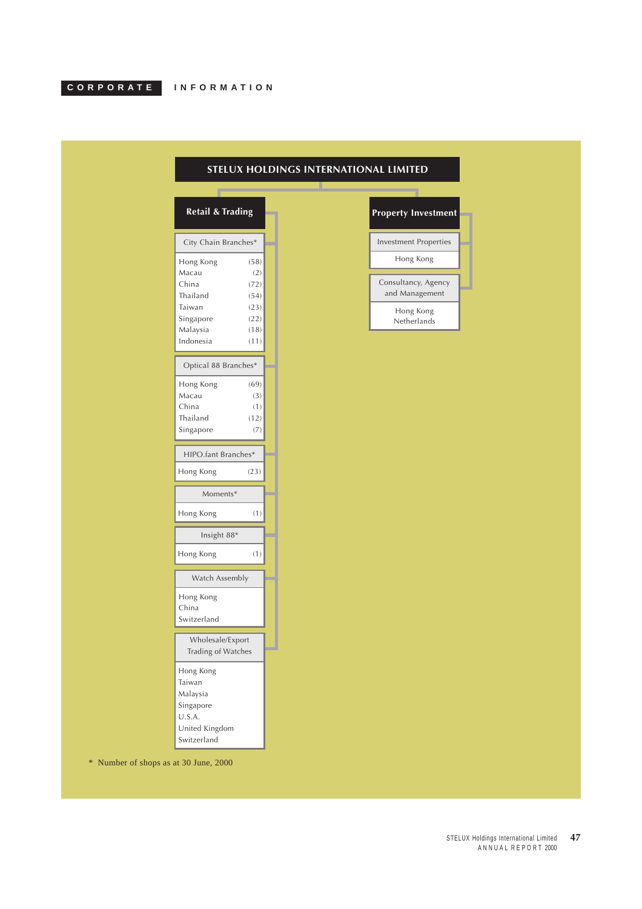<span id="page-46-0"></span>

|  |  |  | IN F U K M A I I U N |  |  |  |
|--|--|--|----------------------|--|--|--|
|  |  |  |                      |  |  |  |

 $\overline{ }$ 

| <b>Retail &amp; Trading</b> |      |  |  |  |  |
|-----------------------------|------|--|--|--|--|
|                             |      |  |  |  |  |
| City Chain Branches*        |      |  |  |  |  |
| Hong Kong                   | (58) |  |  |  |  |
| Macau                       | (2)  |  |  |  |  |
| China                       | (72) |  |  |  |  |
| Thailand                    | (54) |  |  |  |  |
| Taiwan                      | (23) |  |  |  |  |
| Singapore                   | (22) |  |  |  |  |
| Malaysia                    | (18) |  |  |  |  |
| Indonesia                   | (11) |  |  |  |  |
| Optical 88 Branches*        |      |  |  |  |  |
| Hong Kong                   | (69) |  |  |  |  |
| Macau                       | (3)  |  |  |  |  |
| China                       | (1)  |  |  |  |  |
| Thailand                    | (12) |  |  |  |  |
| Singapore                   | (7)  |  |  |  |  |
|                             |      |  |  |  |  |
| HIPO.fant Branches*         |      |  |  |  |  |
| Hong Kong                   | (23) |  |  |  |  |
| Moments*                    |      |  |  |  |  |
| Hong Kong                   | (1)  |  |  |  |  |
| Insight 88*                 |      |  |  |  |  |
| Hong Kong                   | (1)  |  |  |  |  |
| Watch Assembly              |      |  |  |  |  |
| Hong Kong                   |      |  |  |  |  |
| China                       |      |  |  |  |  |
| Switzerland                 |      |  |  |  |  |
| Wholesale/Export            |      |  |  |  |  |
| Trading of Watches          |      |  |  |  |  |
|                             |      |  |  |  |  |
| Hong Kong                   |      |  |  |  |  |
| Taiwan                      |      |  |  |  |  |
| Malaysia                    |      |  |  |  |  |
| Singapore                   |      |  |  |  |  |
| U.S.A.                      |      |  |  |  |  |
| United Kingdom              |      |  |  |  |  |

## **STELUX HOLDINGS INTERNATIONAL LIMITED**



\* Number of shops as at 30 June, 2000